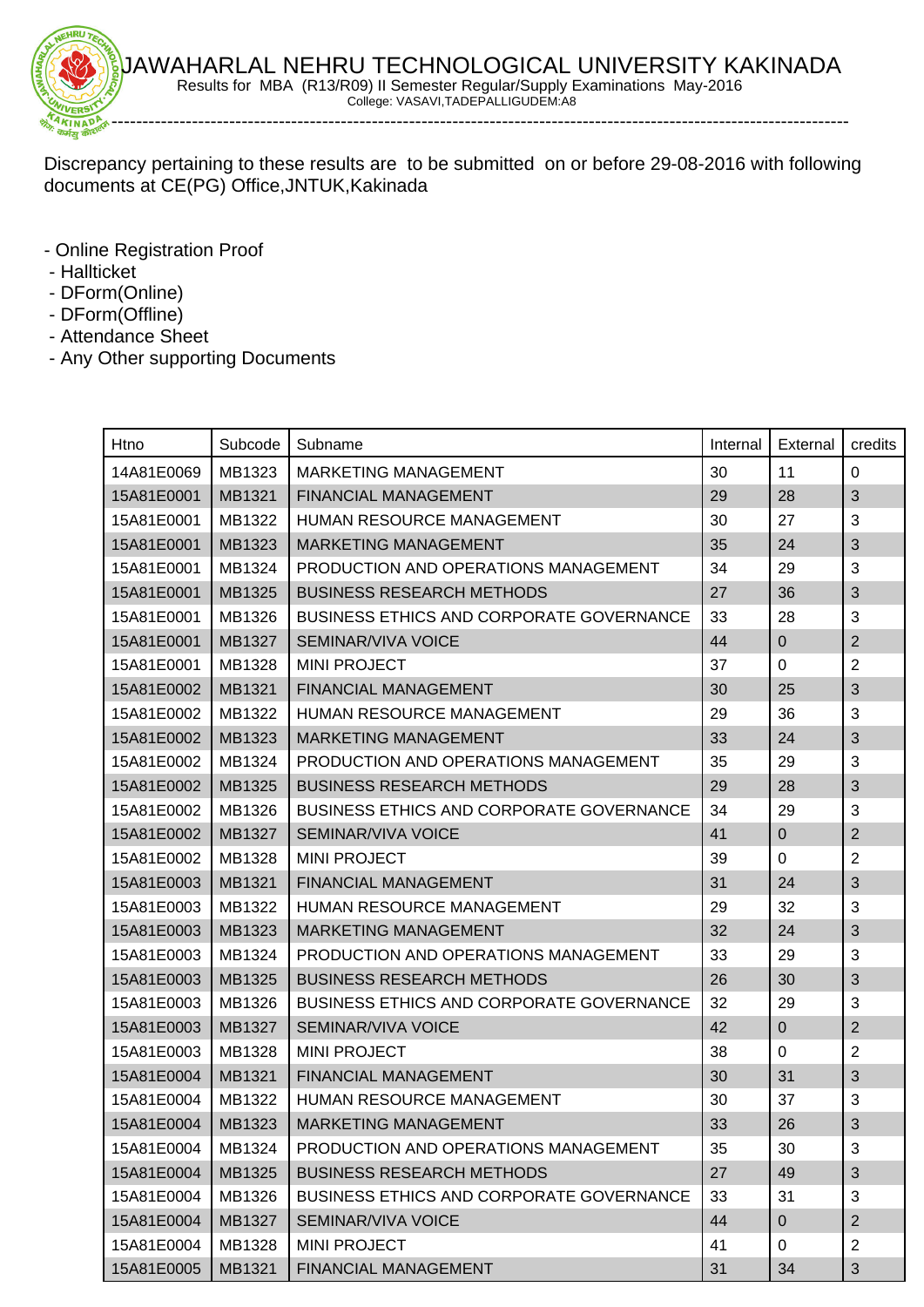

Discrepancy pertaining to these results are to be submitted on or before 29-08-2016 with following documents at CE(PG) Office,JNTUK,Kakinada

- Online Registration Proof
- Hallticket
- DForm(Online)
- DForm(Offline)
- Attendance Sheet
- Any Other supporting Documents

| Htno       | Subcode | Subname                                         | Internal | External    | credits        |
|------------|---------|-------------------------------------------------|----------|-------------|----------------|
| 14A81E0069 | MB1323  | <b>MARKETING MANAGEMENT</b>                     | 30       | 11          | $\mathbf 0$    |
| 15A81E0001 | MB1321  | FINANCIAL MANAGEMENT                            | 29       | 28          | $\mathfrak{S}$ |
| 15A81E0001 | MB1322  | <b>HUMAN RESOURCE MANAGEMENT</b>                | 30       | 27          | 3              |
| 15A81E0001 | MB1323  | <b>MARKETING MANAGEMENT</b>                     | 35       | 24          | 3              |
| 15A81E0001 | MB1324  | PRODUCTION AND OPERATIONS MANAGEMENT            | 34       | 29          | 3              |
| 15A81E0001 | MB1325  | <b>BUSINESS RESEARCH METHODS</b>                | 27       | 36          | 3              |
| 15A81E0001 | MB1326  | <b>BUSINESS ETHICS AND CORPORATE GOVERNANCE</b> | 33       | 28          | 3              |
| 15A81E0001 | MB1327  | <b>SEMINAR/VIVA VOICE</b>                       | 44       | $\mathbf 0$ | 2              |
| 15A81E0001 | MB1328  | <b>MINI PROJECT</b>                             | 37       | 0           | $\overline{2}$ |
| 15A81E0002 | MB1321  | FINANCIAL MANAGEMENT                            | 30       | 25          | $\mathfrak{S}$ |
| 15A81E0002 | MB1322  | HUMAN RESOURCE MANAGEMENT                       | 29       | 36          | 3              |
| 15A81E0002 | MB1323  | <b>MARKETING MANAGEMENT</b>                     | 33       | 24          | $\mathfrak{S}$ |
| 15A81E0002 | MB1324  | PRODUCTION AND OPERATIONS MANAGEMENT            | 35       | 29          | 3              |
| 15A81E0002 | MB1325  | <b>BUSINESS RESEARCH METHODS</b>                | 29       | 28          | 3              |
| 15A81E0002 | MB1326  | <b>BUSINESS ETHICS AND CORPORATE GOVERNANCE</b> | 34       | 29          | 3              |
| 15A81E0002 | MB1327  | SEMINAR/VIVA VOICE                              | 41       | $\pmb{0}$   | $\overline{2}$ |
| 15A81E0002 | MB1328  | <b>MINI PROJECT</b>                             | 39       | 0           | $\overline{2}$ |
| 15A81E0003 | MB1321  | <b>FINANCIAL MANAGEMENT</b>                     | 31       | 24          | 3              |
| 15A81E0003 | MB1322  | HUMAN RESOURCE MANAGEMENT                       | 29       | 32          | 3              |
| 15A81E0003 | MB1323  | <b>MARKETING MANAGEMENT</b>                     | 32       | 24          | 3              |
| 15A81E0003 | MB1324  | PRODUCTION AND OPERATIONS MANAGEMENT            | 33       | 29          | 3              |
| 15A81E0003 | MB1325  | <b>BUSINESS RESEARCH METHODS</b>                | 26       | 30          | $\sqrt{3}$     |
| 15A81E0003 | MB1326  | <b>BUSINESS ETHICS AND CORPORATE GOVERNANCE</b> | 32       | 29          | 3              |
| 15A81E0003 | MB1327  | SEMINAR/VIVA VOICE                              | 42       | $\mathbf 0$ | $\overline{2}$ |
| 15A81E0003 | MB1328  | <b>MINI PROJECT</b>                             | 38       | 0           | $\overline{2}$ |
| 15A81E0004 | MB1321  | FINANCIAL MANAGEMENT                            | 30       | 31          | $\mathfrak{S}$ |
| 15A81E0004 | MB1322  | <b>HUMAN RESOURCE MANAGEMENT</b>                | 30       | 37          | 3              |
| 15A81E0004 | MB1323  | MARKETING MANAGEMENT                            | 33       | 26          | $\mathfrak{S}$ |
| 15A81E0004 | MB1324  | PRODUCTION AND OPERATIONS MANAGEMENT            | 35       | 30          | 3              |
| 15A81E0004 | MB1325  | <b>BUSINESS RESEARCH METHODS</b>                | 27       | 49          | 3              |
| 15A81E0004 | MB1326  | BUSINESS ETHICS AND CORPORATE GOVERNANCE        | 33       | 31          | 3              |
| 15A81E0004 | MB1327  | SEMINAR/VIVA VOICE                              | 44       | $\pmb{0}$   | $\overline{2}$ |
| 15A81E0004 | MB1328  | <b>MINI PROJECT</b>                             | 41       | 0           | $\overline{2}$ |
| 15A81E0005 | MB1321  | FINANCIAL MANAGEMENT                            | 31       | 34          | 3              |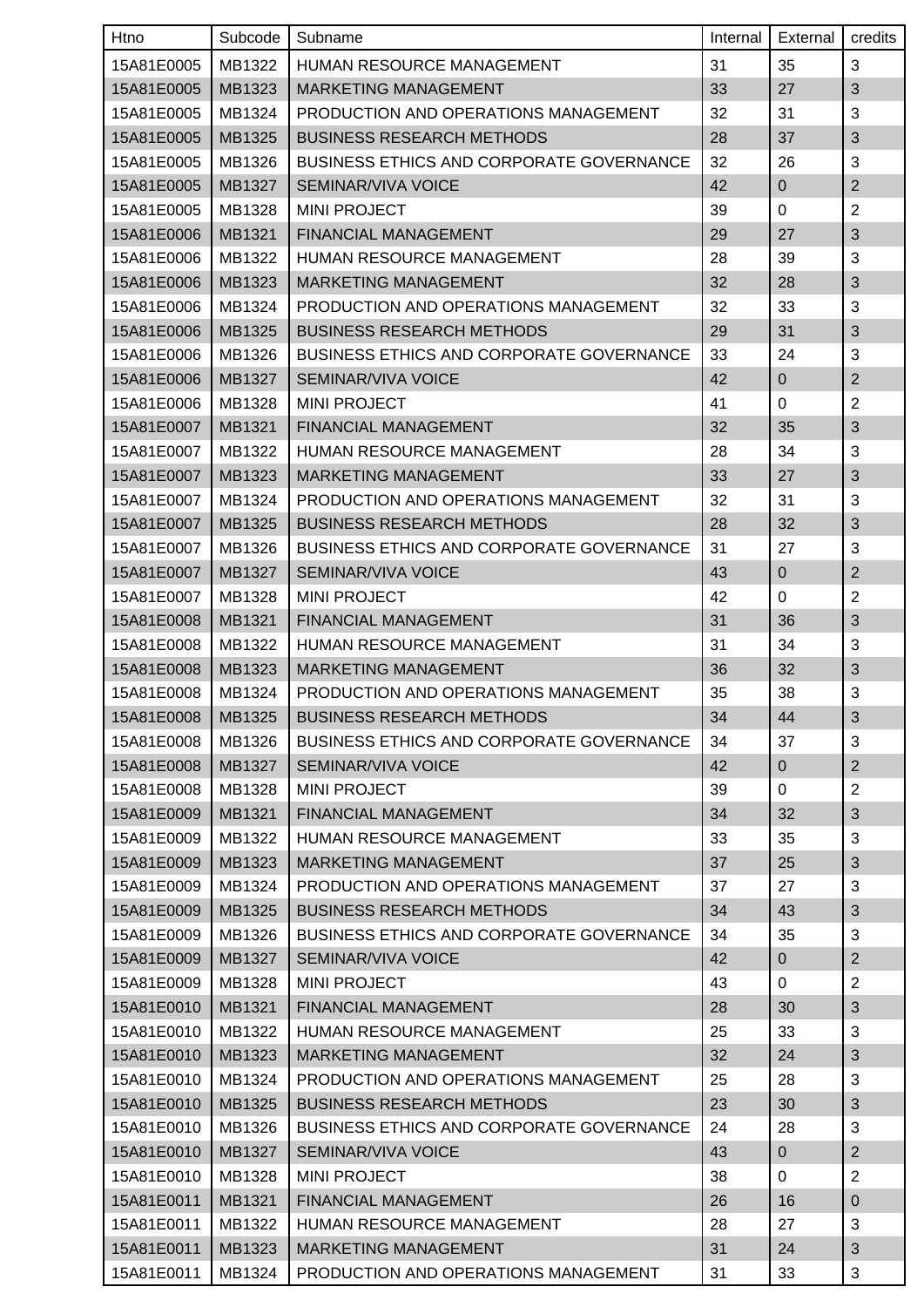| Htno       | Subcode | Subname                                         | Internal | External       | credits        |
|------------|---------|-------------------------------------------------|----------|----------------|----------------|
| 15A81E0005 | MB1322  | <b>HUMAN RESOURCE MANAGEMENT</b>                | 31       | 35             | 3              |
| 15A81E0005 | MB1323  | <b>MARKETING MANAGEMENT</b>                     | 33       | 27             | $\sqrt{3}$     |
| 15A81E0005 | MB1324  | PRODUCTION AND OPERATIONS MANAGEMENT            | 32       | 31             | 3              |
| 15A81E0005 | MB1325  | <b>BUSINESS RESEARCH METHODS</b>                | 28       | 37             | $\sqrt{3}$     |
| 15A81E0005 | MB1326  | <b>BUSINESS ETHICS AND CORPORATE GOVERNANCE</b> | 32       | 26             | 3              |
| 15A81E0005 | MB1327  | <b>SEMINAR/VIVA VOICE</b>                       | 42       | $\mathbf 0$    | $\mathbf{2}$   |
| 15A81E0005 | MB1328  | <b>MINI PROJECT</b>                             | 39       | 0              | $\overline{2}$ |
| 15A81E0006 | MB1321  | <b>FINANCIAL MANAGEMENT</b>                     | 29       | 27             | 3              |
| 15A81E0006 | MB1322  | HUMAN RESOURCE MANAGEMENT                       | 28       | 39             | 3              |
| 15A81E0006 | MB1323  | MARKETING MANAGEMENT                            | 32       | 28             | $\mathfrak{S}$ |
| 15A81E0006 | MB1324  | PRODUCTION AND OPERATIONS MANAGEMENT            | 32       | 33             | 3              |
| 15A81E0006 | MB1325  | <b>BUSINESS RESEARCH METHODS</b>                | 29       | 31             | 3              |
| 15A81E0006 | MB1326  | <b>BUSINESS ETHICS AND CORPORATE GOVERNANCE</b> | 33       | 24             | 3              |
| 15A81E0006 | MB1327  | SEMINAR/VIVA VOICE                              | 42       | $\mathbf 0$    | $\mathbf{2}$   |
| 15A81E0006 | MB1328  | <b>MINI PROJECT</b>                             | 41       | 0              | $\overline{2}$ |
| 15A81E0007 | MB1321  | FINANCIAL MANAGEMENT                            | 32       | 35             | $\sqrt{3}$     |
| 15A81E0007 | MB1322  | <b>HUMAN RESOURCE MANAGEMENT</b>                | 28       | 34             | 3              |
| 15A81E0007 | MB1323  | <b>MARKETING MANAGEMENT</b>                     | 33       | 27             | 3              |
| 15A81E0007 | MB1324  | PRODUCTION AND OPERATIONS MANAGEMENT            | 32       | 31             | 3              |
| 15A81E0007 | MB1325  | <b>BUSINESS RESEARCH METHODS</b>                | 28       | 32             | 3              |
| 15A81E0007 | MB1326  | <b>BUSINESS ETHICS AND CORPORATE GOVERNANCE</b> | 31       | 27             | 3              |
| 15A81E0007 | MB1327  | SEMINAR/VIVA VOICE                              | 43       | $\overline{0}$ | $\overline{2}$ |
| 15A81E0007 | MB1328  | <b>MINI PROJECT</b>                             | 42       | 0              | $\overline{2}$ |
| 15A81E0008 | MB1321  | FINANCIAL MANAGEMENT                            | 31       | 36             | 3              |
| 15A81E0008 | MB1322  | HUMAN RESOURCE MANAGEMENT                       | 31       | 34             | 3              |
| 15A81E0008 | MB1323  | <b>MARKETING MANAGEMENT</b>                     | 36       | 32             | $\sqrt{3}$     |
| 15A81E0008 | MB1324  | PRODUCTION AND OPERATIONS MANAGEMENT            | 35       | 38             | 3              |
| 15A81E0008 | MB1325  | <b>BUSINESS RESEARCH METHODS</b>                | 34       | 44             | $\sqrt{3}$     |
| 15A81E0008 | MB1326  | BUSINESS ETHICS AND CORPORATE GOVERNANCE        | 34       | 37             | 3              |
| 15A81E0008 | MB1327  | SEMINAR/VIVA VOICE                              | 42       | $\overline{0}$ | $\overline{2}$ |
| 15A81E0008 | MB1328  | <b>MINI PROJECT</b>                             | 39       | 0              | $\overline{2}$ |
| 15A81E0009 | MB1321  | FINANCIAL MANAGEMENT                            | 34       | 32             | 3              |
| 15A81E0009 | MB1322  | HUMAN RESOURCE MANAGEMENT                       | 33       | 35             | 3              |
| 15A81E0009 | MB1323  | MARKETING MANAGEMENT                            | 37       | 25             | $\sqrt{3}$     |
| 15A81E0009 | MB1324  | PRODUCTION AND OPERATIONS MANAGEMENT            | 37       | 27             | 3              |
| 15A81E0009 | MB1325  | <b>BUSINESS RESEARCH METHODS</b>                | 34       | 43             | $\sqrt{3}$     |
| 15A81E0009 | MB1326  | <b>BUSINESS ETHICS AND CORPORATE GOVERNANCE</b> | 34       | 35             | 3              |
| 15A81E0009 | MB1327  | <b>SEMINAR/VIVA VOICE</b>                       | 42       | $\overline{0}$ | $\overline{2}$ |
| 15A81E0009 | MB1328  | <b>MINI PROJECT</b>                             | 43       | 0              | $\overline{2}$ |
| 15A81E0010 | MB1321  | FINANCIAL MANAGEMENT                            | 28       | 30             | 3              |
| 15A81E0010 | MB1322  | HUMAN RESOURCE MANAGEMENT                       | 25       | 33             | 3              |
| 15A81E0010 | MB1323  | MARKETING MANAGEMENT                            | 32       | 24             | $\mathfrak{S}$ |
| 15A81E0010 | MB1324  | PRODUCTION AND OPERATIONS MANAGEMENT            | 25       | 28             | 3              |
| 15A81E0010 | MB1325  | <b>BUSINESS RESEARCH METHODS</b>                | 23       | 30             | $\sqrt{3}$     |
| 15A81E0010 | MB1326  | <b>BUSINESS ETHICS AND CORPORATE GOVERNANCE</b> | 24       | 28             | 3              |
| 15A81E0010 | MB1327  | SEMINAR/VIVA VOICE                              | 43       | $\mathbf 0$    | $\overline{c}$ |
| 15A81E0010 | MB1328  | <b>MINI PROJECT</b>                             | 38       | 0              | $\overline{2}$ |
| 15A81E0011 | MB1321  | FINANCIAL MANAGEMENT                            | 26       | 16             | 0              |
| 15A81E0011 | MB1322  | <b>HUMAN RESOURCE MANAGEMENT</b>                | 28       | 27             | 3              |
| 15A81E0011 | MB1323  | MARKETING MANAGEMENT                            | 31       | 24             | $\sqrt{3}$     |
| 15A81E0011 | MB1324  | PRODUCTION AND OPERATIONS MANAGEMENT            | 31       | 33             | 3              |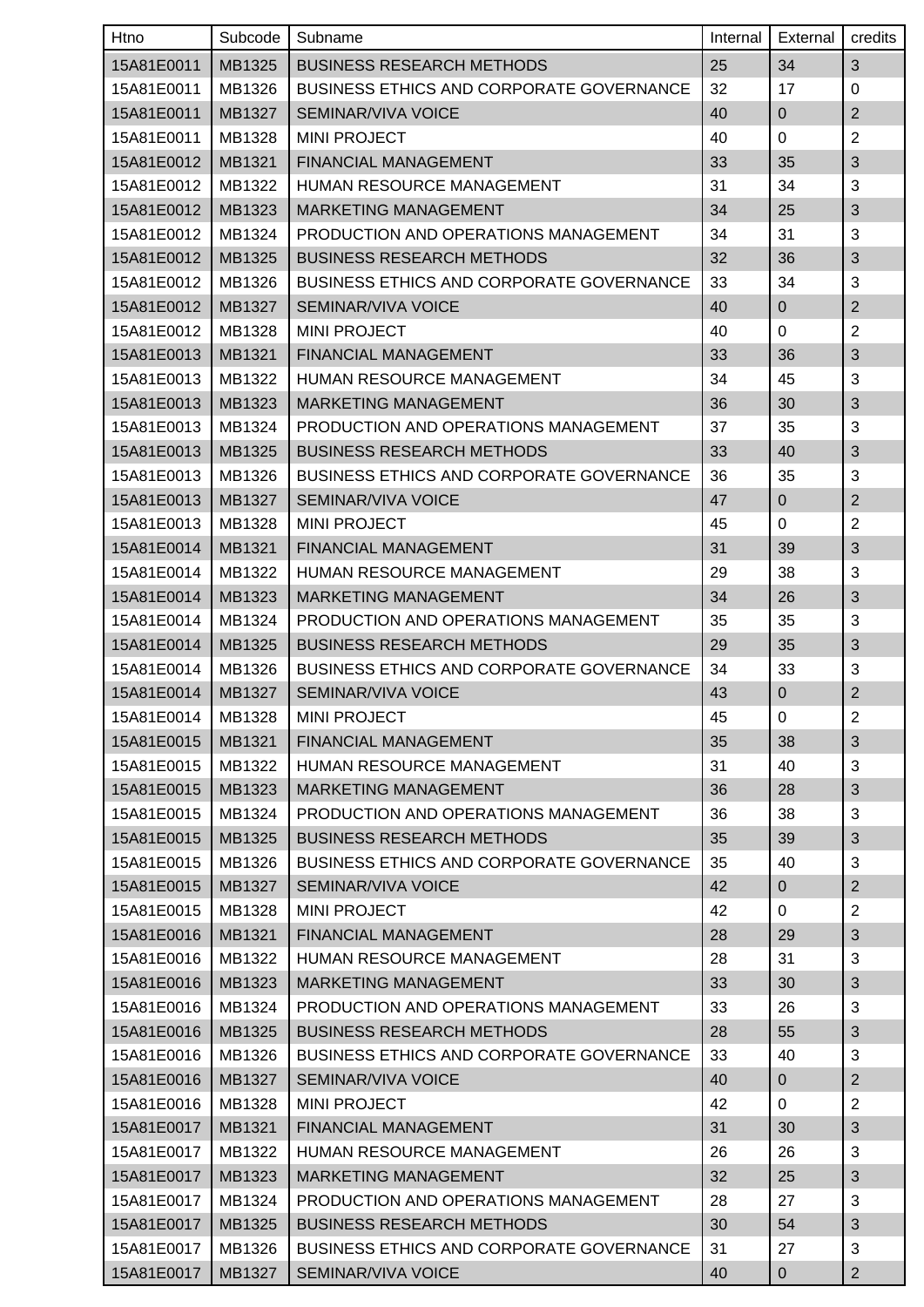| Htno       | Subcode | Subname                                         | Internal | External       | credits        |
|------------|---------|-------------------------------------------------|----------|----------------|----------------|
| 15A81E0011 | MB1325  | <b>BUSINESS RESEARCH METHODS</b>                | 25       | 34             | 3              |
| 15A81E0011 | MB1326  | BUSINESS ETHICS AND CORPORATE GOVERNANCE        | 32       | 17             | 0              |
| 15A81E0011 | MB1327  | <b>SEMINAR/VIVA VOICE</b>                       | 40       | $\pmb{0}$      | $\overline{2}$ |
| 15A81E0011 | MB1328  | <b>MINI PROJECT</b>                             | 40       | 0              | $\overline{2}$ |
| 15A81E0012 | MB1321  | FINANCIAL MANAGEMENT                            | 33       | 35             | 3              |
| 15A81E0012 | MB1322  | HUMAN RESOURCE MANAGEMENT                       | 31       | 34             | 3              |
| 15A81E0012 | MB1323  | <b>MARKETING MANAGEMENT</b>                     | 34       | 25             | 3              |
| 15A81E0012 | MB1324  | PRODUCTION AND OPERATIONS MANAGEMENT            | 34       | 31             | 3              |
| 15A81E0012 | MB1325  | <b>BUSINESS RESEARCH METHODS</b>                | 32       | 36             | $\sqrt{3}$     |
| 15A81E0012 | MB1326  | <b>BUSINESS ETHICS AND CORPORATE GOVERNANCE</b> | 33       | 34             | 3              |
| 15A81E0012 | MB1327  | SEMINAR/VIVA VOICE                              | 40       | $\pmb{0}$      | $\mathbf{2}$   |
| 15A81E0012 | MB1328  | <b>MINI PROJECT</b>                             | 40       | $\mathbf 0$    | $\overline{2}$ |
| 15A81E0013 | MB1321  | FINANCIAL MANAGEMENT                            | 33       | 36             | 3              |
| 15A81E0013 | MB1322  | <b>HUMAN RESOURCE MANAGEMENT</b>                | 34       | 45             | 3              |
| 15A81E0013 | MB1323  | <b>MARKETING MANAGEMENT</b>                     | 36       | 30             | 3              |
| 15A81E0013 | MB1324  | PRODUCTION AND OPERATIONS MANAGEMENT            | 37       | 35             | 3              |
| 15A81E0013 | MB1325  | <b>BUSINESS RESEARCH METHODS</b>                | 33       | 40             | $\sqrt{3}$     |
| 15A81E0013 | MB1326  | <b>BUSINESS ETHICS AND CORPORATE GOVERNANCE</b> | 36       | 35             | 3              |
| 15A81E0013 | MB1327  | <b>SEMINAR/VIVA VOICE</b>                       | 47       | $\mathbf 0$    | $\mathbf 2$    |
| 15A81E0013 | MB1328  | <b>MINI PROJECT</b>                             | 45       | $\mathbf 0$    | $\overline{2}$ |
| 15A81E0014 | MB1321  | FINANCIAL MANAGEMENT                            | 31       | 39             | $\sqrt{3}$     |
| 15A81E0014 | MB1322  | HUMAN RESOURCE MANAGEMENT                       | 29       | 38             | 3              |
| 15A81E0014 | MB1323  | <b>MARKETING MANAGEMENT</b>                     | 34       | 26             | 3              |
| 15A81E0014 | MB1324  | PRODUCTION AND OPERATIONS MANAGEMENT            | 35       | 35             | 3              |
| 15A81E0014 | MB1325  | <b>BUSINESS RESEARCH METHODS</b>                | 29       | 35             | $\sqrt{3}$     |
| 15A81E0014 | MB1326  | <b>BUSINESS ETHICS AND CORPORATE GOVERNANCE</b> | 34       | 33             | 3              |
| 15A81E0014 | MB1327  | SEMINAR/VIVA VOICE                              | 43       | $\mathbf 0$    | $\overline{2}$ |
| 15A81E0014 | MB1328  | <b>MINI PROJECT</b>                             | 45       | $\pmb{0}$      | $\overline{2}$ |
| 15A81E0015 | MB1321  | FINANCIAL MANAGEMENT                            | 35       | 38             | 3              |
| 15A81E0015 | MB1322  | HUMAN RESOURCE MANAGEMENT                       | 31       | 40             | 3              |
| 15A81E0015 | MB1323  | <b>MARKETING MANAGEMENT</b>                     | 36       | 28             | $\sqrt{3}$     |
| 15A81E0015 | MB1324  | PRODUCTION AND OPERATIONS MANAGEMENT            | 36       | 38             | 3              |
| 15A81E0015 | MB1325  | <b>BUSINESS RESEARCH METHODS</b>                | 35       | 39             | 3              |
| 15A81E0015 | MB1326  | <b>BUSINESS ETHICS AND CORPORATE GOVERNANCE</b> | 35       | 40             | 3              |
| 15A81E0015 | MB1327  | SEMINAR/VIVA VOICE                              | 42       | $\overline{0}$ | $\mathbf{2}$   |
| 15A81E0015 | MB1328  | <b>MINI PROJECT</b>                             | 42       | 0              | 2              |
| 15A81E0016 | MB1321  | FINANCIAL MANAGEMENT                            | 28       | 29             | 3              |
| 15A81E0016 | MB1322  | HUMAN RESOURCE MANAGEMENT                       | 28       | 31             | 3              |
| 15A81E0016 | MB1323  | <b>MARKETING MANAGEMENT</b>                     | 33       | 30             | $\sqrt{3}$     |
| 15A81E0016 | MB1324  | PRODUCTION AND OPERATIONS MANAGEMENT            | 33       | 26             | 3              |
| 15A81E0016 | MB1325  | <b>BUSINESS RESEARCH METHODS</b>                | 28       | 55             | 3              |
| 15A81E0016 | MB1326  | BUSINESS ETHICS AND CORPORATE GOVERNANCE        | 33       | 40             | 3              |
| 15A81E0016 | MB1327  | SEMINAR/VIVA VOICE                              | 40       | $\overline{0}$ | $\mathbf{2}$   |
| 15A81E0016 | MB1328  | <b>MINI PROJECT</b>                             | 42       | $\mathbf 0$    | $\sqrt{2}$     |
| 15A81E0017 | MB1321  | FINANCIAL MANAGEMENT                            | 31       | 30             | 3              |
| 15A81E0017 | MB1322  | <b>HUMAN RESOURCE MANAGEMENT</b>                | 26       | 26             | 3              |
| 15A81E0017 | MB1323  | <b>MARKETING MANAGEMENT</b>                     | 32       | 25             | $\sqrt{3}$     |
| 15A81E0017 | MB1324  | PRODUCTION AND OPERATIONS MANAGEMENT            | 28       | 27             | 3              |
| 15A81E0017 | MB1325  | <b>BUSINESS RESEARCH METHODS</b>                | 30       | 54             | $\sqrt{3}$     |
| 15A81E0017 | MB1326  | <b>BUSINESS ETHICS AND CORPORATE GOVERNANCE</b> | 31       | 27             | 3              |
| 15A81E0017 | MB1327  | SEMINAR/VIVA VOICE                              | 40       | 0              | $\overline{2}$ |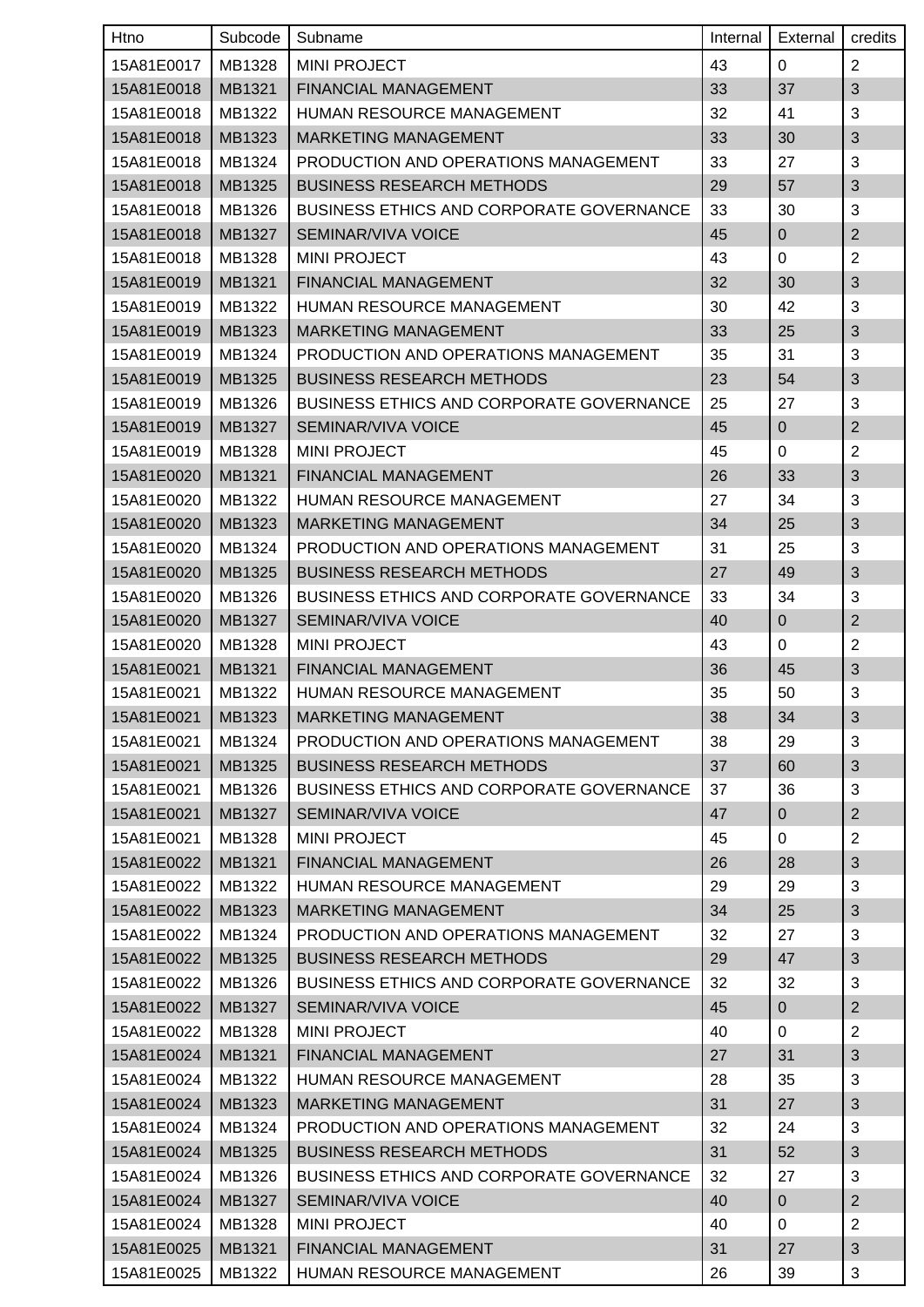| Htno       | Subcode | Subname                                         | Internal | External       | credits                   |
|------------|---------|-------------------------------------------------|----------|----------------|---------------------------|
| 15A81E0017 | MB1328  | <b>MINI PROJECT</b>                             | 43       | $\mathbf 0$    | $\overline{2}$            |
| 15A81E0018 | MB1321  | <b>FINANCIAL MANAGEMENT</b>                     | 33       | 37             | 3                         |
| 15A81E0018 | MB1322  | HUMAN RESOURCE MANAGEMENT                       | 32       | 41             | 3                         |
| 15A81E0018 | MB1323  | <b>MARKETING MANAGEMENT</b>                     | 33       | 30             | $\ensuremath{\mathsf{3}}$ |
| 15A81E0018 | MB1324  | PRODUCTION AND OPERATIONS MANAGEMENT            | 33       | 27             | 3                         |
| 15A81E0018 | MB1325  | <b>BUSINESS RESEARCH METHODS</b>                | 29       | 57             | $\sqrt{3}$                |
| 15A81E0018 | MB1326  | <b>BUSINESS ETHICS AND CORPORATE GOVERNANCE</b> | 33       | 30             | 3                         |
| 15A81E0018 | MB1327  | SEMINAR/VIVA VOICE                              | 45       | $\mathbf 0$    | $\overline{2}$            |
| 15A81E0018 | MB1328  | <b>MINI PROJECT</b>                             | 43       | 0              | $\overline{2}$            |
| 15A81E0019 | MB1321  | FINANCIAL MANAGEMENT                            | 32       | 30             | 3                         |
| 15A81E0019 | MB1322  | HUMAN RESOURCE MANAGEMENT                       | 30       | 42             | 3                         |
| 15A81E0019 | MB1323  | <b>MARKETING MANAGEMENT</b>                     | 33       | 25             | $\sqrt{3}$                |
| 15A81E0019 | MB1324  | PRODUCTION AND OPERATIONS MANAGEMENT            | 35       | 31             | 3                         |
| 15A81E0019 | MB1325  | <b>BUSINESS RESEARCH METHODS</b>                | 23       | 54             | $\sqrt{3}$                |
| 15A81E0019 | MB1326  | <b>BUSINESS ETHICS AND CORPORATE GOVERNANCE</b> | 25       | 27             | 3                         |
| 15A81E0019 | MB1327  | <b>SEMINAR/VIVA VOICE</b>                       | 45       | $\mathbf 0$    | $\mathbf{2}$              |
| 15A81E0019 | MB1328  | <b>MINI PROJECT</b>                             | 45       | 0              | $\overline{2}$            |
| 15A81E0020 | MB1321  | <b>FINANCIAL MANAGEMENT</b>                     | 26       | 33             | 3                         |
| 15A81E0020 | MB1322  | <b>HUMAN RESOURCE MANAGEMENT</b>                | 27       | 34             | 3                         |
| 15A81E0020 | MB1323  | MARKETING MANAGEMENT                            | 34       | 25             | 3                         |
| 15A81E0020 | MB1324  | PRODUCTION AND OPERATIONS MANAGEMENT            | 31       | 25             | 3                         |
| 15A81E0020 | MB1325  | <b>BUSINESS RESEARCH METHODS</b>                | 27       | 49             | 3                         |
| 15A81E0020 | MB1326  | <b>BUSINESS ETHICS AND CORPORATE GOVERNANCE</b> | 33       | 34             | 3                         |
| 15A81E0020 | MB1327  | SEMINAR/VIVA VOICE                              | 40       | $\pmb{0}$      | $\mathbf{2}$              |
| 15A81E0020 | MB1328  | <b>MINI PROJECT</b>                             | 43       | 0              | $\overline{2}$            |
| 15A81E0021 | MB1321  | FINANCIAL MANAGEMENT                            | 36       | 45             | $\sqrt{3}$                |
| 15A81E0021 | MB1322  | HUMAN RESOURCE MANAGEMENT                       | 35       | 50             | $\mathbf{3}$              |
| 15A81E0021 | MB1323  | MARKETING MANAGEMENT                            | 38       | 34             | $\sqrt{3}$                |
| 15A81E0021 | MB1324  | PRODUCTION AND OPERATIONS MANAGEMENT            | 38       | 29             | 3                         |
| 15A81E0021 | MB1325  | <b>BUSINESS RESEARCH METHODS</b>                | 37       | 60             | 3                         |
| 15A81E0021 | MB1326  | <b>BUSINESS ETHICS AND CORPORATE GOVERNANCE</b> | 37       | 36             | 3                         |
| 15A81E0021 | MB1327  | SEMINAR/VIVA VOICE                              | 47       | $\overline{0}$ | $\overline{2}$            |
| 15A81E0021 | MB1328  | <b>MINI PROJECT</b>                             | 45       | 0              | $\overline{2}$            |
| 15A81E0022 | MB1321  | FINANCIAL MANAGEMENT                            | 26       | 28             | $\sqrt{3}$                |
| 15A81E0022 | MB1322  | HUMAN RESOURCE MANAGEMENT                       | 29       | 29             | 3                         |
| 15A81E0022 | MB1323  | MARKETING MANAGEMENT                            | 34       | 25             | $\sqrt{3}$                |
| 15A81E0022 | MB1324  | PRODUCTION AND OPERATIONS MANAGEMENT            | 32       | 27             | 3                         |
| 15A81E0022 | MB1325  | <b>BUSINESS RESEARCH METHODS</b>                | 29       | 47             | 3                         |
| 15A81E0022 | MB1326  | <b>BUSINESS ETHICS AND CORPORATE GOVERNANCE</b> | 32       | 32             | 3                         |
| 15A81E0022 | MB1327  | SEMINAR/VIVA VOICE                              | 45       | $\overline{0}$ | $\overline{2}$            |
| 15A81E0022 | MB1328  | <b>MINI PROJECT</b>                             | 40       | 0              | $\overline{2}$            |
| 15A81E0024 | MB1321  | FINANCIAL MANAGEMENT                            | 27       | 31             | 3                         |
| 15A81E0024 | MB1322  | HUMAN RESOURCE MANAGEMENT                       | 28       | 35             | 3                         |
| 15A81E0024 | MB1323  | <b>MARKETING MANAGEMENT</b>                     | 31       | 27             | 3                         |
| 15A81E0024 | MB1324  | PRODUCTION AND OPERATIONS MANAGEMENT            | 32       | 24             | 3                         |
| 15A81E0024 | MB1325  | <b>BUSINESS RESEARCH METHODS</b>                | 31       | 52             | $\sqrt{3}$                |
| 15A81E0024 | MB1326  | BUSINESS ETHICS AND CORPORATE GOVERNANCE        | 32       | 27             | 3                         |
| 15A81E0024 | MB1327  | <b>SEMINAR/VIVA VOICE</b>                       | 40       | $\overline{0}$ | $\overline{c}$            |
| 15A81E0024 | MB1328  | <b>MINI PROJECT</b>                             | 40       | 0              | $\overline{2}$            |
| 15A81E0025 | MB1321  | FINANCIAL MANAGEMENT                            | 31       | 27             | $\sqrt{3}$                |
| 15A81E0025 | MB1322  | HUMAN RESOURCE MANAGEMENT                       | 26       | 39             | 3                         |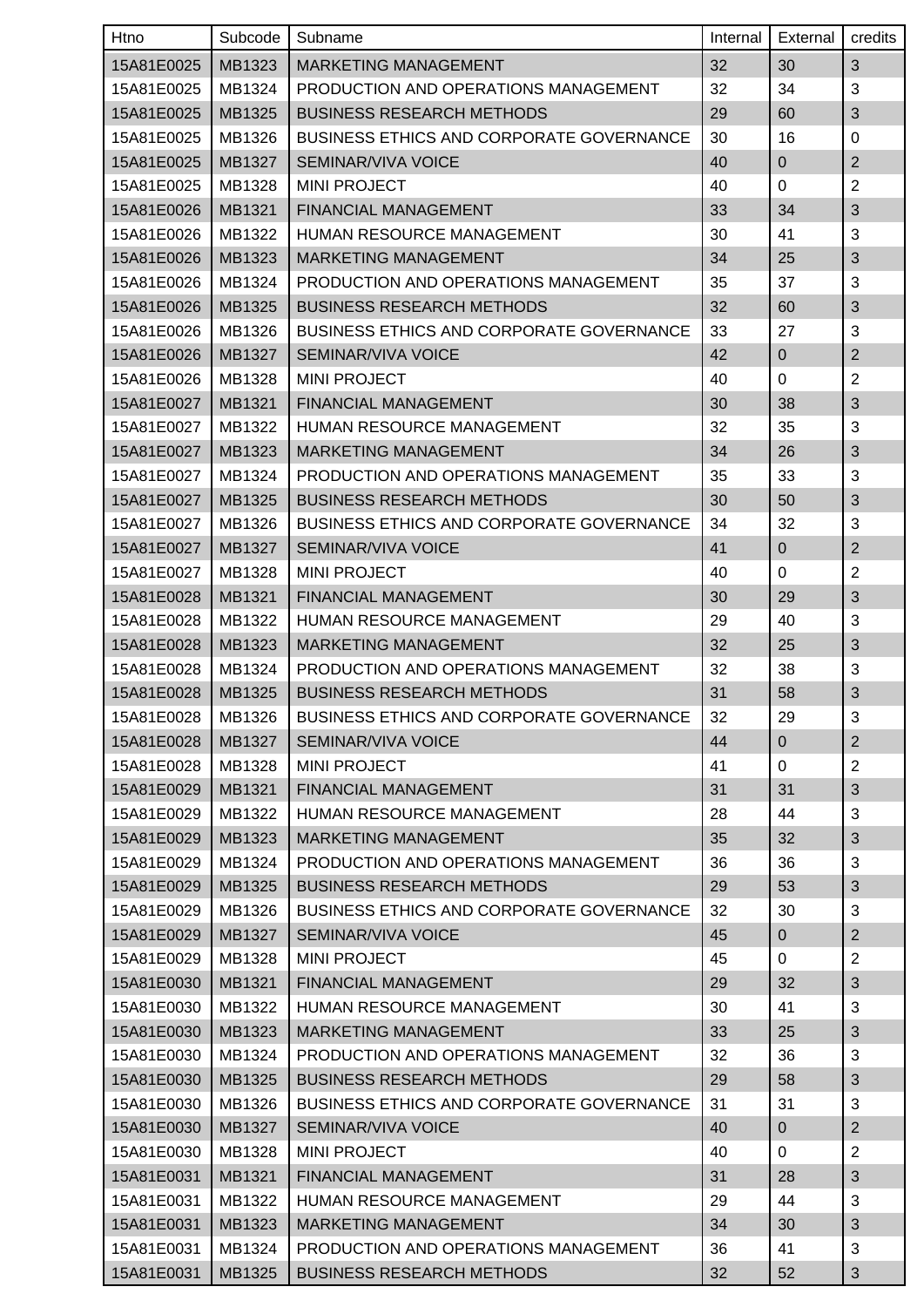| Htno       | Subcode | Subname                                         | Internal | External       | credits        |
|------------|---------|-------------------------------------------------|----------|----------------|----------------|
| 15A81E0025 | MB1323  | <b>MARKETING MANAGEMENT</b>                     | 32       | 30             | 3              |
| 15A81E0025 | MB1324  | PRODUCTION AND OPERATIONS MANAGEMENT            | 32       | 34             | 3              |
| 15A81E0025 | MB1325  | <b>BUSINESS RESEARCH METHODS</b>                | 29       | 60             | 3              |
| 15A81E0025 | MB1326  | <b>BUSINESS ETHICS AND CORPORATE GOVERNANCE</b> | 30       | 16             | 0              |
| 15A81E0025 | MB1327  | SEMINAR/VIVA VOICE                              | 40       | $\pmb{0}$      | $\overline{2}$ |
| 15A81E0025 | MB1328  | <b>MINI PROJECT</b>                             | 40       | 0              | $\overline{2}$ |
| 15A81E0026 | MB1321  | FINANCIAL MANAGEMENT                            | 33       | 34             | 3              |
| 15A81E0026 | MB1322  | HUMAN RESOURCE MANAGEMENT                       | 30       | 41             | 3              |
| 15A81E0026 | MB1323  | <b>MARKETING MANAGEMENT</b>                     | 34       | 25             | $\sqrt{3}$     |
| 15A81E0026 | MB1324  | PRODUCTION AND OPERATIONS MANAGEMENT            | 35       | 37             | 3              |
| 15A81E0026 | MB1325  | <b>BUSINESS RESEARCH METHODS</b>                | 32       | 60             | $\sqrt{3}$     |
| 15A81E0026 | MB1326  | <b>BUSINESS ETHICS AND CORPORATE GOVERNANCE</b> | 33       | 27             | 3              |
| 15A81E0026 | MB1327  | SEMINAR/VIVA VOICE                              | 42       | $\pmb{0}$      | $\overline{2}$ |
| 15A81E0026 | MB1328  | <b>MINI PROJECT</b>                             | 40       | 0              | $\overline{c}$ |
| 15A81E0027 | MB1321  | FINANCIAL MANAGEMENT                            | 30       | 38             | 3              |
| 15A81E0027 | MB1322  | <b>HUMAN RESOURCE MANAGEMENT</b>                | 32       | 35             | 3              |
| 15A81E0027 | MB1323  | <b>MARKETING MANAGEMENT</b>                     | 34       | 26             | $\sqrt{3}$     |
| 15A81E0027 | MB1324  | PRODUCTION AND OPERATIONS MANAGEMENT            | 35       | 33             | 3              |
| 15A81E0027 | MB1325  | <b>BUSINESS RESEARCH METHODS</b>                | 30       | 50             | 3              |
| 15A81E0027 | MB1326  | BUSINESS ETHICS AND CORPORATE GOVERNANCE        | 34       | 32             | 3              |
| 15A81E0027 | MB1327  | SEMINAR/VIVA VOICE                              | 41       | $\pmb{0}$      | $\mathbf{2}$   |
| 15A81E0027 | MB1328  | <b>MINI PROJECT</b>                             | 40       | 0              | $\overline{2}$ |
| 15A81E0028 | MB1321  | FINANCIAL MANAGEMENT                            | 30       | 29             | 3              |
| 15A81E0028 | MB1322  | HUMAN RESOURCE MANAGEMENT                       | 29       | 40             | 3              |
| 15A81E0028 | MB1323  | <b>MARKETING MANAGEMENT</b>                     | 32       | 25             | $\sqrt{3}$     |
| 15A81E0028 | MB1324  | PRODUCTION AND OPERATIONS MANAGEMENT            | 32       | 38             | 3              |
| 15A81E0028 | MB1325  | <b>BUSINESS RESEARCH METHODS</b>                | 31       | 58             | $\mathfrak{S}$ |
| 15A81E0028 | MB1326  | BUSINESS ETHICS AND CORPORATE GOVERNANCE        | 32       | 29             | 3              |
| 15A81E0028 | MB1327  | SEMINAR/VIVA VOICE                              | 44       | $\pmb{0}$      | $\overline{2}$ |
| 15A81E0028 | MB1328  | <b>MINI PROJECT</b>                             | 41       | 0              | $\overline{2}$ |
| 15A81E0029 | MB1321  | FINANCIAL MANAGEMENT                            | 31       | 31             | $\sqrt{3}$     |
| 15A81E0029 | MB1322  | HUMAN RESOURCE MANAGEMENT                       | 28       | 44             | 3              |
| 15A81E0029 | MB1323  | <b>MARKETING MANAGEMENT</b>                     | 35       | 32             | $\sqrt{3}$     |
| 15A81E0029 | MB1324  | PRODUCTION AND OPERATIONS MANAGEMENT            | 36       | 36             | 3              |
| 15A81E0029 | MB1325  | <b>BUSINESS RESEARCH METHODS</b>                | 29       | 53             | $\sqrt{3}$     |
| 15A81E0029 | MB1326  | <b>BUSINESS ETHICS AND CORPORATE GOVERNANCE</b> | 32       | 30             | 3              |
| 15A81E0029 | MB1327  | SEMINAR/VIVA VOICE                              | 45       | $\overline{0}$ | $\overline{2}$ |
| 15A81E0029 | MB1328  | <b>MINI PROJECT</b>                             | 45       | 0              | $\overline{c}$ |
| 15A81E0030 | MB1321  | FINANCIAL MANAGEMENT                            | 29       | 32             | $\sqrt{3}$     |
| 15A81E0030 | MB1322  | <b>HUMAN RESOURCE MANAGEMENT</b>                | 30       | 41             | 3              |
| 15A81E0030 | MB1323  | <b>MARKETING MANAGEMENT</b>                     | 33       | 25             | $\sqrt{3}$     |
| 15A81E0030 | MB1324  | PRODUCTION AND OPERATIONS MANAGEMENT            | 32       | 36             | 3              |
| 15A81E0030 | MB1325  | <b>BUSINESS RESEARCH METHODS</b>                | 29       | 58             | $\sqrt{3}$     |
| 15A81E0030 | MB1326  | BUSINESS ETHICS AND CORPORATE GOVERNANCE        | 31       | 31             | 3              |
| 15A81E0030 | MB1327  | SEMINAR/VIVA VOICE                              | 40       | $\overline{0}$ | $\overline{2}$ |
| 15A81E0030 | MB1328  | <b>MINI PROJECT</b>                             | 40       | 0              | $\overline{c}$ |
| 15A81E0031 | MB1321  | FINANCIAL MANAGEMENT                            | 31       | 28             | $\sqrt{3}$     |
| 15A81E0031 | MB1322  | HUMAN RESOURCE MANAGEMENT                       | 29       | 44             | 3              |
| 15A81E0031 | MB1323  | <b>MARKETING MANAGEMENT</b>                     | 34       | 30             | 3              |
| 15A81E0031 | MB1324  | PRODUCTION AND OPERATIONS MANAGEMENT            | 36       | 41             | 3              |
| 15A81E0031 | MB1325  | <b>BUSINESS RESEARCH METHODS</b>                | 32       | 52             | 3              |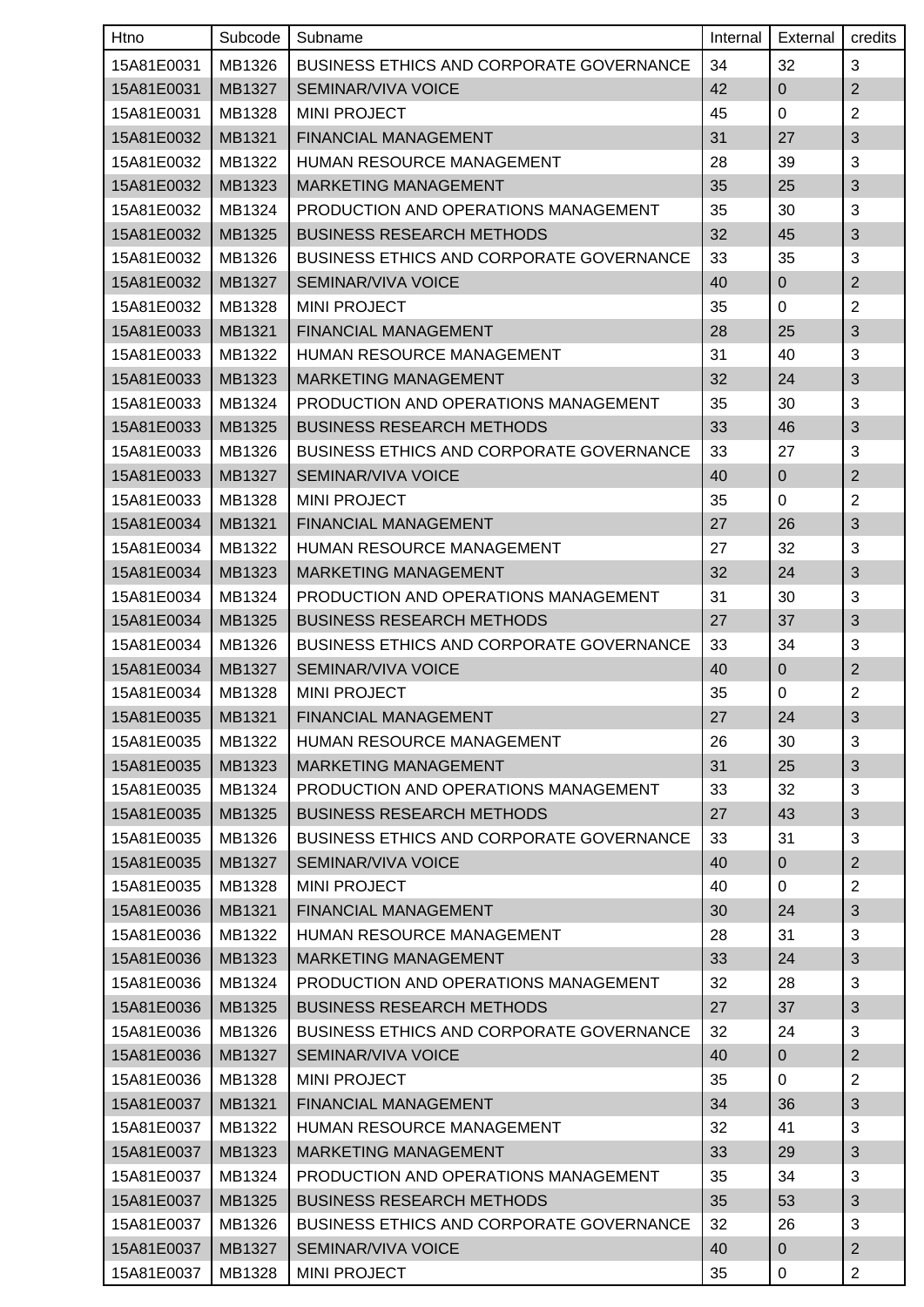| Htno       | Subcode | Subname                                         | Internal | External       | credits        |
|------------|---------|-------------------------------------------------|----------|----------------|----------------|
| 15A81E0031 | MB1326  | <b>BUSINESS ETHICS AND CORPORATE GOVERNANCE</b> | 34       | 32             | 3              |
| 15A81E0031 | MB1327  | <b>SEMINAR/VIVA VOICE</b>                       | 42       | $\overline{0}$ | $\overline{2}$ |
| 15A81E0031 | MB1328  | <b>MINI PROJECT</b>                             | 45       | 0              | $\overline{2}$ |
| 15A81E0032 | MB1321  | FINANCIAL MANAGEMENT                            | 31       | 27             | $\sqrt{3}$     |
| 15A81E0032 | MB1322  | HUMAN RESOURCE MANAGEMENT                       | 28       | 39             | 3              |
| 15A81E0032 | MB1323  | <b>MARKETING MANAGEMENT</b>                     | 35       | 25             | $\sqrt{3}$     |
| 15A81E0032 | MB1324  | PRODUCTION AND OPERATIONS MANAGEMENT            | 35       | 30             | 3              |
| 15A81E0032 | MB1325  | <b>BUSINESS RESEARCH METHODS</b>                | 32       | 45             | 3              |
| 15A81E0032 | MB1326  | <b>BUSINESS ETHICS AND CORPORATE GOVERNANCE</b> | 33       | 35             | 3              |
| 15A81E0032 | MB1327  | SEMINAR/VIVA VOICE                              | 40       | $\pmb{0}$      | $\overline{2}$ |
| 15A81E0032 | MB1328  | <b>MINI PROJECT</b>                             | 35       | 0              | $\overline{2}$ |
| 15A81E0033 | MB1321  | <b>FINANCIAL MANAGEMENT</b>                     | 28       | 25             | 3              |
| 15A81E0033 | MB1322  | <b>HUMAN RESOURCE MANAGEMENT</b>                | 31       | 40             | 3              |
| 15A81E0033 | MB1323  | <b>MARKETING MANAGEMENT</b>                     | 32       | 24             | 3              |
| 15A81E0033 | MB1324  | PRODUCTION AND OPERATIONS MANAGEMENT            | 35       | 30             | 3              |
| 15A81E0033 | MB1325  | <b>BUSINESS RESEARCH METHODS</b>                | 33       | 46             | $\sqrt{3}$     |
| 15A81E0033 | MB1326  | <b>BUSINESS ETHICS AND CORPORATE GOVERNANCE</b> | 33       | 27             | 3              |
| 15A81E0033 | MB1327  | SEMINAR/VIVA VOICE                              | 40       | 0              | $\overline{2}$ |
| 15A81E0033 | MB1328  | <b>MINI PROJECT</b>                             | 35       | 0              | $\overline{2}$ |
| 15A81E0034 | MB1321  | FINANCIAL MANAGEMENT                            | 27       | 26             | 3              |
| 15A81E0034 | MB1322  | HUMAN RESOURCE MANAGEMENT                       | 27       | 32             | 3              |
| 15A81E0034 | MB1323  | <b>MARKETING MANAGEMENT</b>                     | 32       | 24             | 3              |
| 15A81E0034 | MB1324  | PRODUCTION AND OPERATIONS MANAGEMENT            | 31       | 30             | 3              |
| 15A81E0034 | MB1325  | <b>BUSINESS RESEARCH METHODS</b>                | 27       | 37             | 3              |
| 15A81E0034 | MB1326  | BUSINESS ETHICS AND CORPORATE GOVERNANCE        | 33       | 34             | 3              |
| 15A81E0034 | MB1327  | SEMINAR/VIVA VOICE                              | 40       | $\pmb{0}$      | $\mathbf{2}$   |
| 15A81E0034 | MB1328  | <b>MINI PROJECT</b>                             | 35       | 0              | $\overline{2}$ |
| 15A81E0035 | MB1321  | FINANCIAL MANAGEMENT                            | 27       | 24             | 3              |
| 15A81E0035 | MB1322  | HUMAN RESOURCE MANAGEMENT                       | 26       | 30             | 3              |
| 15A81E0035 | MB1323  | MARKETING MANAGEMENT                            | 31       | 25             | 3              |
| 15A81E0035 | MB1324  | PRODUCTION AND OPERATIONS MANAGEMENT            | 33       | 32             | 3              |
| 15A81E0035 | MB1325  | <b>BUSINESS RESEARCH METHODS</b>                | 27       | 43             | 3              |
| 15A81E0035 | MB1326  | <b>BUSINESS ETHICS AND CORPORATE GOVERNANCE</b> | 33       | 31             | 3              |
| 15A81E0035 | MB1327  | SEMINAR/VIVA VOICE                              | 40       | $\overline{0}$ | $\overline{2}$ |
| 15A81E0035 | MB1328  | <b>MINI PROJECT</b>                             | 40       | $\mathbf 0$    | $\overline{c}$ |
| 15A81E0036 | MB1321  | FINANCIAL MANAGEMENT                            | 30       | 24             | $\sqrt{3}$     |
| 15A81E0036 | MB1322  | HUMAN RESOURCE MANAGEMENT                       | 28       | 31             | 3              |
| 15A81E0036 | MB1323  | MARKETING MANAGEMENT                            | 33       | 24             | $\mathfrak{S}$ |
| 15A81E0036 | MB1324  | PRODUCTION AND OPERATIONS MANAGEMENT            | 32       | 28             | 3              |
| 15A81E0036 | MB1325  | <b>BUSINESS RESEARCH METHODS</b>                | 27       | 37             | $\sqrt{3}$     |
| 15A81E0036 | MB1326  | <b>BUSINESS ETHICS AND CORPORATE GOVERNANCE</b> | 32       | 24             | 3              |
| 15A81E0036 | MB1327  | SEMINAR/VIVA VOICE                              | 40       | $\overline{0}$ | $\overline{2}$ |
| 15A81E0036 | MB1328  | <b>MINI PROJECT</b>                             | 35       | 0              | $\overline{c}$ |
| 15A81E0037 | MB1321  | FINANCIAL MANAGEMENT                            | 34       | 36             | $\sqrt{3}$     |
| 15A81E0037 | MB1322  | HUMAN RESOURCE MANAGEMENT                       | 32       | 41             | 3              |
| 15A81E0037 | MB1323  | MARKETING MANAGEMENT                            | 33       | 29             | $\sqrt{3}$     |
| 15A81E0037 | MB1324  | PRODUCTION AND OPERATIONS MANAGEMENT            | 35       | 34             | 3              |
| 15A81E0037 | MB1325  | <b>BUSINESS RESEARCH METHODS</b>                | 35       | 53             | $\mathfrak{S}$ |
| 15A81E0037 | MB1326  | <b>BUSINESS ETHICS AND CORPORATE GOVERNANCE</b> | 32       | 26             | 3              |
| 15A81E0037 | MB1327  | SEMINAR/VIVA VOICE                              | 40       | $\mathbf{0}$   | $\overline{2}$ |
| 15A81E0037 | MB1328  | <b>MINI PROJECT</b>                             | 35       | 0              | $\overline{c}$ |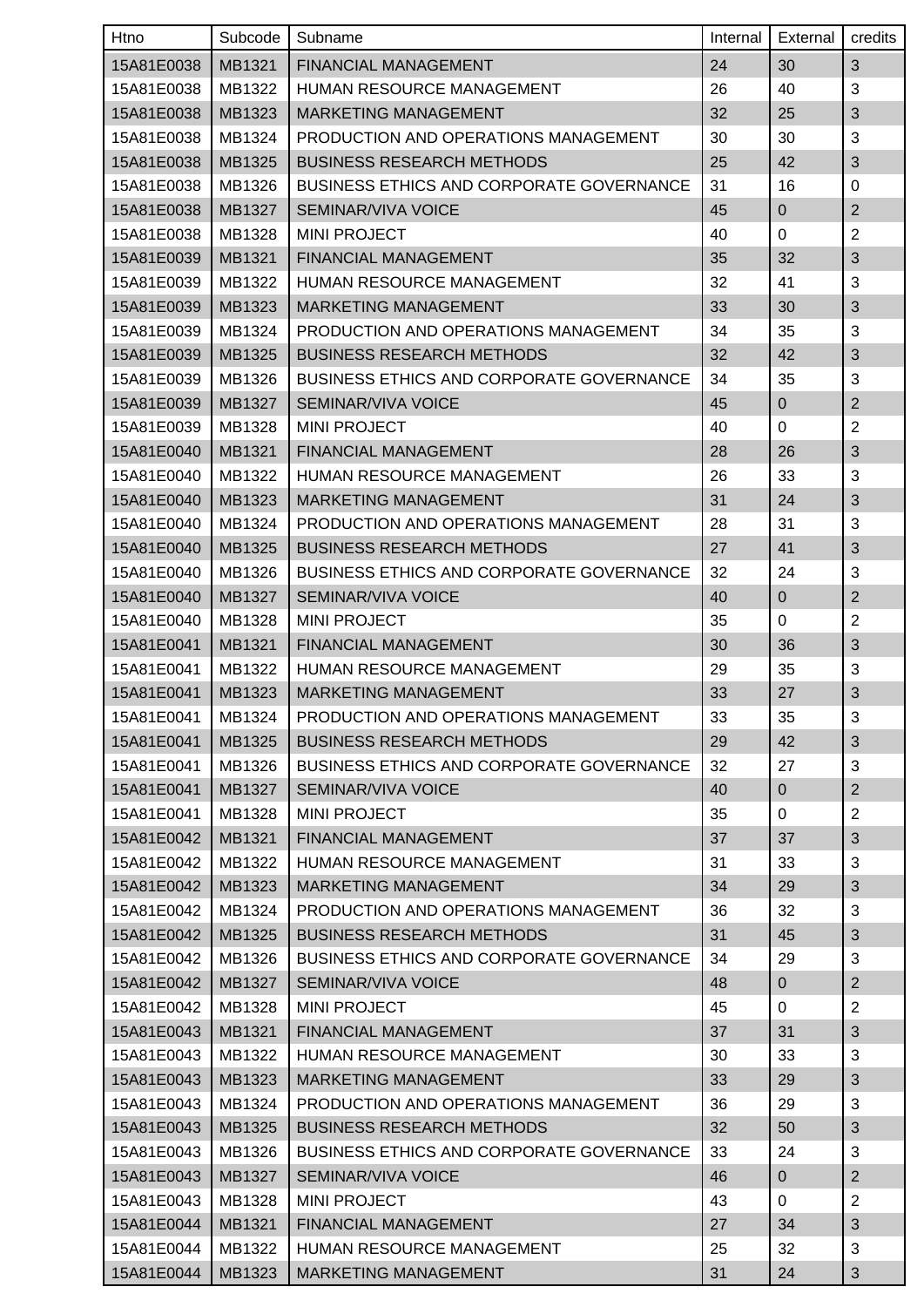| Htno       | Subcode | Subname                                         | Internal | External       | credits        |
|------------|---------|-------------------------------------------------|----------|----------------|----------------|
| 15A81E0038 | MB1321  | <b>FINANCIAL MANAGEMENT</b>                     | 24       | 30             | 3              |
| 15A81E0038 | MB1322  | HUMAN RESOURCE MANAGEMENT                       | 26       | 40             | 3              |
| 15A81E0038 | MB1323  | <b>MARKETING MANAGEMENT</b>                     | 32       | 25             | 3              |
| 15A81E0038 | MB1324  | PRODUCTION AND OPERATIONS MANAGEMENT            | 30       | 30             | 3              |
| 15A81E0038 | MB1325  | <b>BUSINESS RESEARCH METHODS</b>                | 25       | 42             | 3              |
| 15A81E0038 | MB1326  | <b>BUSINESS ETHICS AND CORPORATE GOVERNANCE</b> | 31       | 16             | 0              |
| 15A81E0038 | MB1327  | SEMINAR/VIVA VOICE                              | 45       | $\pmb{0}$      | $\overline{2}$ |
| 15A81E0038 | MB1328  | <b>MINI PROJECT</b>                             | 40       | 0              | $\overline{2}$ |
| 15A81E0039 | MB1321  | FINANCIAL MANAGEMENT                            | 35       | 32             | $\sqrt{3}$     |
| 15A81E0039 | MB1322  | HUMAN RESOURCE MANAGEMENT                       | 32       | 41             | 3              |
| 15A81E0039 | MB1323  | <b>MARKETING MANAGEMENT</b>                     | 33       | 30             | $\sqrt{3}$     |
| 15A81E0039 | MB1324  | PRODUCTION AND OPERATIONS MANAGEMENT            | 34       | 35             | 3              |
| 15A81E0039 | MB1325  | <b>BUSINESS RESEARCH METHODS</b>                | 32       | 42             | 3              |
| 15A81E0039 | MB1326  | <b>BUSINESS ETHICS AND CORPORATE GOVERNANCE</b> | 34       | 35             | 3              |
| 15A81E0039 | MB1327  | SEMINAR/VIVA VOICE                              | 45       | $\mathbf 0$    | $\overline{2}$ |
| 15A81E0039 | MB1328  | <b>MINI PROJECT</b>                             | 40       | 0              | $\overline{2}$ |
| 15A81E0040 | MB1321  | FINANCIAL MANAGEMENT                            | 28       | 26             | $\sqrt{3}$     |
| 15A81E0040 | MB1322  | <b>HUMAN RESOURCE MANAGEMENT</b>                | 26       | 33             | 3              |
| 15A81E0040 | MB1323  | <b>MARKETING MANAGEMENT</b>                     | 31       | 24             | 3              |
| 15A81E0040 | MB1324  | PRODUCTION AND OPERATIONS MANAGEMENT            | 28       | 31             | 3              |
| 15A81E0040 | MB1325  | <b>BUSINESS RESEARCH METHODS</b>                | 27       | 41             | $\sqrt{3}$     |
| 15A81E0040 | MB1326  | <b>BUSINESS ETHICS AND CORPORATE GOVERNANCE</b> | 32       | 24             | 3              |
| 15A81E0040 | MB1327  | SEMINAR/VIVA VOICE                              | 40       | $\pmb{0}$      | $\overline{2}$ |
| 15A81E0040 | MB1328  | <b>MINI PROJECT</b>                             | 35       | 0              | $\overline{2}$ |
| 15A81E0041 | MB1321  | FINANCIAL MANAGEMENT                            | 30       | 36             | 3              |
| 15A81E0041 | MB1322  | HUMAN RESOURCE MANAGEMENT                       | 29       | 35             | 3              |
| 15A81E0041 | MB1323  | MARKETING MANAGEMENT                            | 33       | 27             | $\mathfrak{S}$ |
| 15A81E0041 | MB1324  | PRODUCTION AND OPERATIONS MANAGEMENT            | 33       | 35             | 3              |
| 15A81E0041 | MB1325  | <b>BUSINESS RESEARCH METHODS</b>                | 29       | 42             | 3              |
| 15A81E0041 | MB1326  | BUSINESS ETHICS AND CORPORATE GOVERNANCE        | 32       | 27             | 3              |
| 15A81E0041 | MB1327  | SEMINAR/VIVA VOICE                              | 40       | $\overline{0}$ | $\overline{2}$ |
| 15A81E0041 | MB1328  | <b>MINI PROJECT</b>                             | 35       | $\mathbf 0$    | $\overline{c}$ |
| 15A81E0042 | MB1321  | FINANCIAL MANAGEMENT                            | 37       | 37             | 3              |
| 15A81E0042 | MB1322  | HUMAN RESOURCE MANAGEMENT                       | 31       | 33             | 3              |
| 15A81E0042 | MB1323  | <b>MARKETING MANAGEMENT</b>                     | 34       | 29             | 3              |
| 15A81E0042 | MB1324  | PRODUCTION AND OPERATIONS MANAGEMENT            | 36       | 32             | 3              |
| 15A81E0042 | MB1325  | <b>BUSINESS RESEARCH METHODS</b>                | 31       | 45             | $\sqrt{3}$     |
| 15A81E0042 | MB1326  | <b>BUSINESS ETHICS AND CORPORATE GOVERNANCE</b> | 34       | 29             | 3              |
| 15A81E0042 | MB1327  | SEMINAR/VIVA VOICE                              | 48       | $\mathbf{0}$   | $\mathbf{2}$   |
| 15A81E0042 | MB1328  | <b>MINI PROJECT</b>                             | 45       | 0              | $\overline{2}$ |
| 15A81E0043 | MB1321  | FINANCIAL MANAGEMENT                            | 37       | 31             | $\sqrt{3}$     |
| 15A81E0043 | MB1322  | HUMAN RESOURCE MANAGEMENT                       | 30       | 33             | 3              |
| 15A81E0043 | MB1323  | <b>MARKETING MANAGEMENT</b>                     | 33       | 29             | $\sqrt{3}$     |
| 15A81E0043 | MB1324  | PRODUCTION AND OPERATIONS MANAGEMENT            | 36       | 29             | 3              |
| 15A81E0043 | MB1325  | <b>BUSINESS RESEARCH METHODS</b>                | 32       | 50             | $\sqrt{3}$     |
| 15A81E0043 | MB1326  | <b>BUSINESS ETHICS AND CORPORATE GOVERNANCE</b> | 33       | 24             | 3              |
| 15A81E0043 | MB1327  | SEMINAR/VIVA VOICE                              | 46       | $\overline{0}$ | $\overline{2}$ |
| 15A81E0043 | MB1328  | <b>MINI PROJECT</b>                             | 43       | 0              | $\overline{2}$ |
| 15A81E0044 | MB1321  | FINANCIAL MANAGEMENT                            | 27       | 34             | 3              |
| 15A81E0044 | MB1322  | HUMAN RESOURCE MANAGEMENT                       | 25       | 32             | 3              |
| 15A81E0044 | MB1323  | <b>MARKETING MANAGEMENT</b>                     | 31       | 24             | 3              |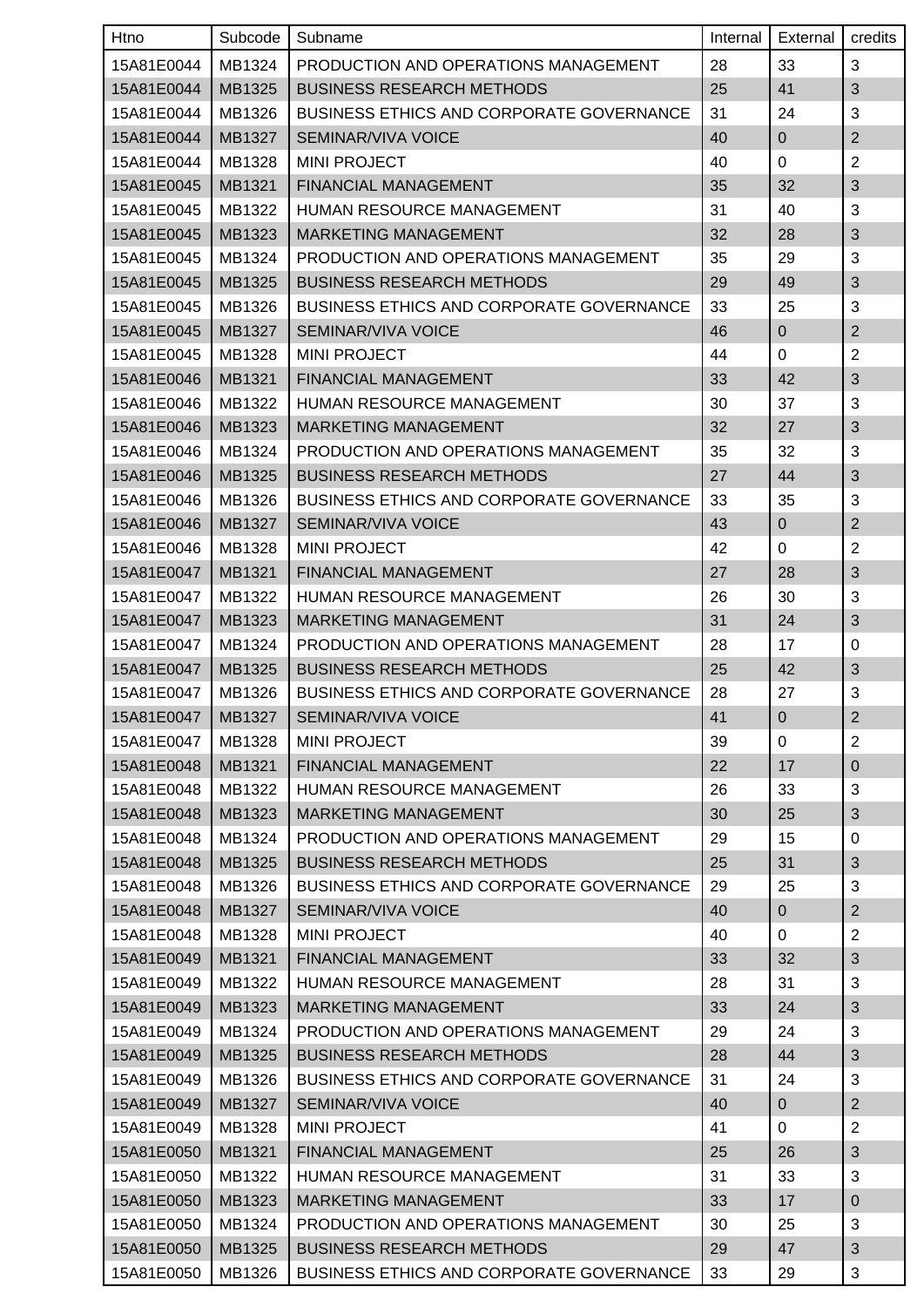| Htno       | Subcode | Subname                                         | Internal | External       | credits        |
|------------|---------|-------------------------------------------------|----------|----------------|----------------|
| 15A81E0044 | MB1324  | PRODUCTION AND OPERATIONS MANAGEMENT            | 28       | 33             | 3              |
| 15A81E0044 | MB1325  | <b>BUSINESS RESEARCH METHODS</b>                | 25       | 41             | 3              |
| 15A81E0044 | MB1326  | <b>BUSINESS ETHICS AND CORPORATE GOVERNANCE</b> | 31       | 24             | 3              |
| 15A81E0044 | MB1327  | SEMINAR/VIVA VOICE                              | 40       | 0              | $\overline{2}$ |
| 15A81E0044 | MB1328  | <b>MINI PROJECT</b>                             | 40       | 0              | $\overline{2}$ |
| 15A81E0045 | MB1321  | FINANCIAL MANAGEMENT                            | 35       | 32             | $\sqrt{3}$     |
| 15A81E0045 | MB1322  | <b>HUMAN RESOURCE MANAGEMENT</b>                | 31       | 40             | 3              |
| 15A81E0045 | MB1323  | <b>MARKETING MANAGEMENT</b>                     | 32       | 28             | 3              |
| 15A81E0045 | MB1324  | PRODUCTION AND OPERATIONS MANAGEMENT            | 35       | 29             | 3              |
| 15A81E0045 | MB1325  | <b>BUSINESS RESEARCH METHODS</b>                | 29       | 49             | 3              |
| 15A81E0045 | MB1326  | <b>BUSINESS ETHICS AND CORPORATE GOVERNANCE</b> | 33       | 25             | 3              |
| 15A81E0045 | MB1327  | SEMINAR/VIVA VOICE                              | 46       | $\mathbf 0$    | $\overline{2}$ |
| 15A81E0045 | MB1328  | <b>MINI PROJECT</b>                             | 44       | 0              | $\overline{2}$ |
| 15A81E0046 | MB1321  | FINANCIAL MANAGEMENT                            | 33       | 42             | 3              |
| 15A81E0046 | MB1322  | HUMAN RESOURCE MANAGEMENT                       | 30       | 37             | 3              |
| 15A81E0046 | MB1323  | <b>MARKETING MANAGEMENT</b>                     | 32       | 27             | $\sqrt{3}$     |
| 15A81E0046 | MB1324  | PRODUCTION AND OPERATIONS MANAGEMENT            | 35       | 32             | 3              |
| 15A81E0046 | MB1325  | <b>BUSINESS RESEARCH METHODS</b>                | 27       | 44             | $\sqrt{3}$     |
| 15A81E0046 | MB1326  | <b>BUSINESS ETHICS AND CORPORATE GOVERNANCE</b> | 33       | 35             | 3              |
| 15A81E0046 | MB1327  | SEMINAR/VIVA VOICE                              | 43       | $\mathbf 0$    | $\overline{2}$ |
| 15A81E0046 | MB1328  | <b>MINI PROJECT</b>                             | 42       | 0              | $\overline{2}$ |
| 15A81E0047 | MB1321  | FINANCIAL MANAGEMENT                            | 27       | 28             | 3              |
| 15A81E0047 | MB1322  | <b>HUMAN RESOURCE MANAGEMENT</b>                | 26       | 30             | 3              |
| 15A81E0047 | MB1323  | <b>MARKETING MANAGEMENT</b>                     | 31       | 24             | 3              |
| 15A81E0047 | MB1324  | PRODUCTION AND OPERATIONS MANAGEMENT            | 28       | 17             | 0              |
| 15A81E0047 | MB1325  | <b>BUSINESS RESEARCH METHODS</b>                | 25       | 42             | 3              |
| 15A81E0047 | MB1326  | <b>BUSINESS ETHICS AND CORPORATE GOVERNANCE</b> | 28       | 27             | 3              |
| 15A81E0047 | MB1327  | SEMINAR/VIVA VOICE                              | 41       | $\overline{0}$ | $\overline{2}$ |
| 15A81E0047 | MB1328  | <b>MINI PROJECT</b>                             | 39       | 0              | $\overline{2}$ |
| 15A81E0048 | MB1321  | FINANCIAL MANAGEMENT                            | 22       | 17             | $\mathbf 0$    |
| 15A81E0048 | MB1322  | HUMAN RESOURCE MANAGEMENT                       | 26       | 33             | 3              |
| 15A81E0048 | MB1323  | MARKETING MANAGEMENT                            | 30       | 25             | $\mathfrak{S}$ |
| 15A81E0048 | MB1324  | PRODUCTION AND OPERATIONS MANAGEMENT            | 29       | 15             | 0              |
| 15A81E0048 | MB1325  | <b>BUSINESS RESEARCH METHODS</b>                | 25       | 31             | $\sqrt{3}$     |
| 15A81E0048 | MB1326  | <b>BUSINESS ETHICS AND CORPORATE GOVERNANCE</b> | 29       | 25             | 3              |
| 15A81E0048 | MB1327  | SEMINAR/VIVA VOICE                              | 40       | $\overline{0}$ | $\overline{2}$ |
| 15A81E0048 | MB1328  | <b>MINI PROJECT</b>                             | 40       | $\mathbf 0$    | $\overline{2}$ |
| 15A81E0049 | MB1321  | FINANCIAL MANAGEMENT                            | 33       | 32             | $\sqrt{3}$     |
| 15A81E0049 | MB1322  | HUMAN RESOURCE MANAGEMENT                       | 28       | 31             | 3              |
| 15A81E0049 | MB1323  | MARKETING MANAGEMENT                            | 33       | 24             | $\sqrt{3}$     |
| 15A81E0049 | MB1324  | PRODUCTION AND OPERATIONS MANAGEMENT            | 29       | 24             | 3              |
| 15A81E0049 | MB1325  | <b>BUSINESS RESEARCH METHODS</b>                | 28       | 44             | $\mathfrak{S}$ |
| 15A81E0049 | MB1326  | <b>BUSINESS ETHICS AND CORPORATE GOVERNANCE</b> | 31       | 24             | 3              |
| 15A81E0049 | MB1327  | SEMINAR/VIVA VOICE                              | 40       | $\overline{0}$ | $\overline{2}$ |
| 15A81E0049 | MB1328  | <b>MINI PROJECT</b>                             | 41       | 0              | $\overline{2}$ |
| 15A81E0050 | MB1321  | FINANCIAL MANAGEMENT                            | 25       | 26             | $\mathfrak{S}$ |
| 15A81E0050 | MB1322  | HUMAN RESOURCE MANAGEMENT                       | 31       | 33             | 3              |
| 15A81E0050 | MB1323  | <b>MARKETING MANAGEMENT</b>                     | 33       | 17             | $\pmb{0}$      |
| 15A81E0050 | MB1324  | PRODUCTION AND OPERATIONS MANAGEMENT            | 30       | 25             | 3              |
| 15A81E0050 | MB1325  | <b>BUSINESS RESEARCH METHODS</b>                | 29       | 47             | 3              |
| 15A81E0050 | MB1326  | BUSINESS ETHICS AND CORPORATE GOVERNANCE        | 33       | 29             | 3              |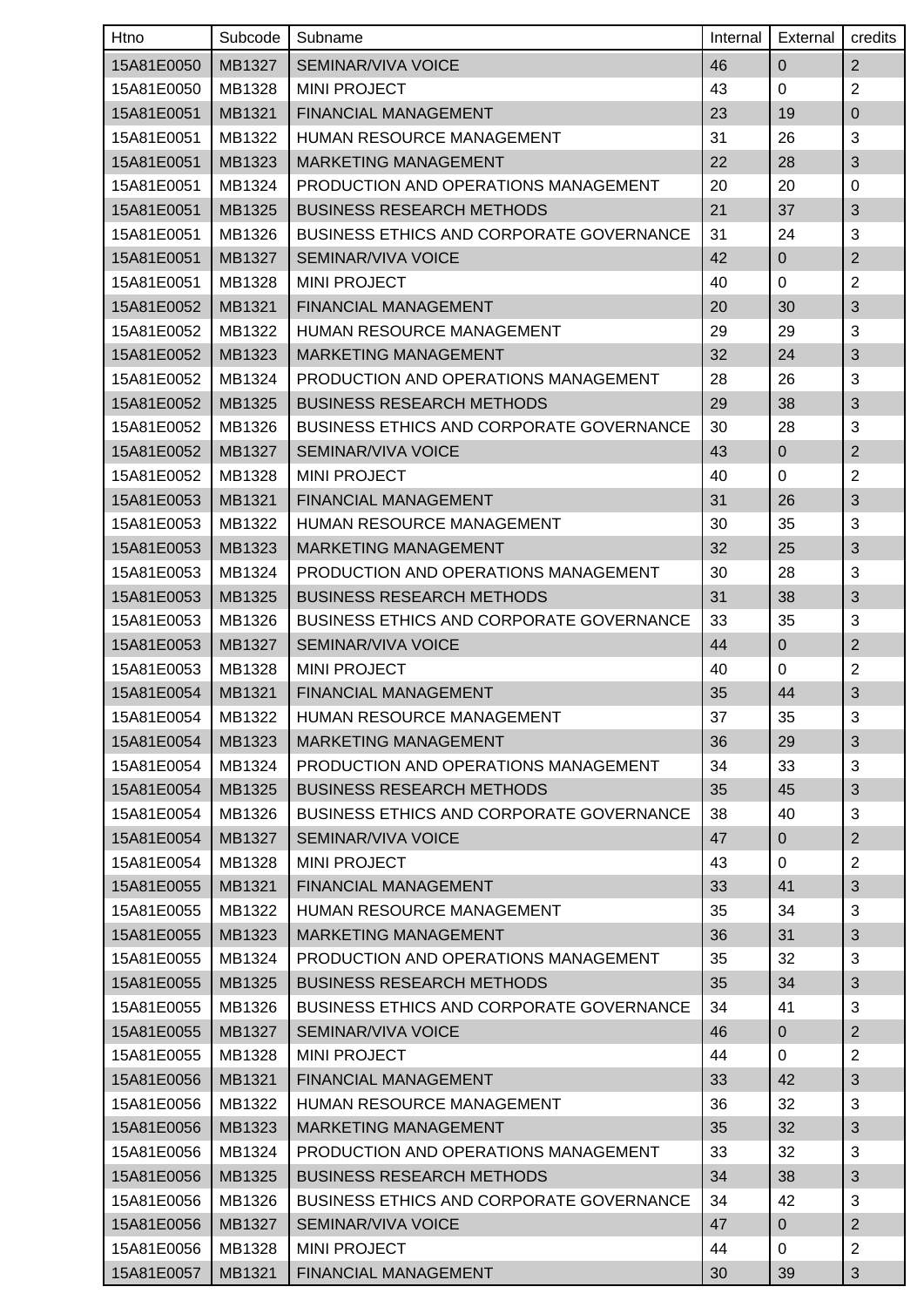| Htno       | Subcode | Subname                                         | Internal | External       | credits        |
|------------|---------|-------------------------------------------------|----------|----------------|----------------|
| 15A81E0050 | MB1327  | SEMINAR/VIVA VOICE                              | 46       | $\mathbf 0$    | $\overline{2}$ |
| 15A81E0050 | MB1328  | <b>MINI PROJECT</b>                             | 43       | $\mathbf 0$    | $\overline{2}$ |
| 15A81E0051 | MB1321  | FINANCIAL MANAGEMENT                            | 23       | 19             | 0              |
| 15A81E0051 | MB1322  | HUMAN RESOURCE MANAGEMENT                       | 31       | 26             | 3              |
| 15A81E0051 | MB1323  | MARKETING MANAGEMENT                            | 22       | 28             | $\sqrt{3}$     |
| 15A81E0051 | MB1324  | PRODUCTION AND OPERATIONS MANAGEMENT            | 20       | 20             | 0              |
| 15A81E0051 | MB1325  | <b>BUSINESS RESEARCH METHODS</b>                | 21       | 37             | 3              |
| 15A81E0051 | MB1326  | <b>BUSINESS ETHICS AND CORPORATE GOVERNANCE</b> | 31       | 24             | 3              |
| 15A81E0051 | MB1327  | <b>SEMINAR/VIVA VOICE</b>                       | 42       | $\mathbf 0$    | $\mathbf 2$    |
| 15A81E0051 | MB1328  | <b>MINI PROJECT</b>                             | 40       | 0              | $\overline{2}$ |
| 15A81E0052 | MB1321  | FINANCIAL MANAGEMENT                            | 20       | 30             | $\sqrt{3}$     |
| 15A81E0052 | MB1322  | HUMAN RESOURCE MANAGEMENT                       | 29       | 29             | 3              |
| 15A81E0052 | MB1323  | <b>MARKETING MANAGEMENT</b>                     | 32       | 24             | 3              |
| 15A81E0052 | MB1324  | PRODUCTION AND OPERATIONS MANAGEMENT            | 28       | 26             | 3              |
| 15A81E0052 | MB1325  | <b>BUSINESS RESEARCH METHODS</b>                | 29       | 38             | 3              |
| 15A81E0052 | MB1326  | <b>BUSINESS ETHICS AND CORPORATE GOVERNANCE</b> | 30       | 28             | 3              |
| 15A81E0052 | MB1327  | SEMINAR/VIVA VOICE                              | 43       | $\mathsf 0$    | $\overline{2}$ |
| 15A81E0052 | MB1328  | <b>MINI PROJECT</b>                             | 40       | 0              | $\overline{c}$ |
| 15A81E0053 | MB1321  | <b>FINANCIAL MANAGEMENT</b>                     | 31       | 26             | 3              |
| 15A81E0053 | MB1322  | HUMAN RESOURCE MANAGEMENT                       | 30       | 35             | 3              |
| 15A81E0053 | MB1323  | <b>MARKETING MANAGEMENT</b>                     | 32       | 25             | $\sqrt{3}$     |
| 15A81E0053 | MB1324  | PRODUCTION AND OPERATIONS MANAGEMENT            | 30       | 28             | 3              |
| 15A81E0053 | MB1325  | <b>BUSINESS RESEARCH METHODS</b>                | 31       | 38             | 3              |
| 15A81E0053 | MB1326  | <b>BUSINESS ETHICS AND CORPORATE GOVERNANCE</b> | 33       | 35             | 3              |
| 15A81E0053 | MB1327  | SEMINAR/VIVA VOICE                              | 44       | $\pmb{0}$      | $\overline{2}$ |
| 15A81E0053 | MB1328  | <b>MINI PROJECT</b>                             | 40       | 0              | $\overline{2}$ |
| 15A81E0054 | MB1321  | FINANCIAL MANAGEMENT                            | 35       | 44             | $\mathfrak{S}$ |
| 15A81E0054 | MB1322  | <b>HUMAN RESOURCE MANAGEMENT</b>                | 37       | 35             | 3              |
| 15A81E0054 | MB1323  | <b>MARKETING MANAGEMENT</b>                     | 36       | 29             | 3              |
| 15A81E0054 | MB1324  | PRODUCTION AND OPERATIONS MANAGEMENT            | 34       | 33             | 3              |
| 15A81E0054 | MB1325  | <b>BUSINESS RESEARCH METHODS</b>                | 35       | 45             | $\sqrt{3}$     |
| 15A81E0054 | MB1326  | BUSINESS ETHICS AND CORPORATE GOVERNANCE        | 38       | 40             | 3              |
| 15A81E0054 | MB1327  | SEMINAR/VIVA VOICE                              | 47       | $\overline{0}$ | $\mathbf{2}$   |
| 15A81E0054 | MB1328  | <b>MINI PROJECT</b>                             | 43       | 0              | $\overline{c}$ |
| 15A81E0055 | MB1321  | FINANCIAL MANAGEMENT                            | 33       | 41             | 3              |
| 15A81E0055 | MB1322  | HUMAN RESOURCE MANAGEMENT                       | 35       | 34             | 3              |
| 15A81E0055 | MB1323  | <b>MARKETING MANAGEMENT</b>                     | 36       | 31             | $\sqrt{3}$     |
| 15A81E0055 | MB1324  | PRODUCTION AND OPERATIONS MANAGEMENT            | 35       | 32             | 3              |
| 15A81E0055 | MB1325  | <b>BUSINESS RESEARCH METHODS</b>                | 35       | 34             | $\sqrt{3}$     |
| 15A81E0055 | MB1326  | <b>BUSINESS ETHICS AND CORPORATE GOVERNANCE</b> | 34       | 41             | 3              |
| 15A81E0055 | MB1327  | <b>SEMINAR/VIVA VOICE</b>                       | 46       | $\pmb{0}$      | $\mathbf{2}$   |
| 15A81E0055 | MB1328  | <b>MINI PROJECT</b>                             | 44       | $\mathbf 0$    | $\overline{2}$ |
| 15A81E0056 | MB1321  | FINANCIAL MANAGEMENT                            | 33       | 42             | $\sqrt{3}$     |
| 15A81E0056 | MB1322  | HUMAN RESOURCE MANAGEMENT                       | 36       | 32             | 3              |
| 15A81E0056 | MB1323  | <b>MARKETING MANAGEMENT</b>                     | 35       | 32             | $\sqrt{3}$     |
| 15A81E0056 | MB1324  | PRODUCTION AND OPERATIONS MANAGEMENT            | 33       | 32             | 3              |
| 15A81E0056 | MB1325  | <b>BUSINESS RESEARCH METHODS</b>                | 34       | 38             | 3              |
| 15A81E0056 | MB1326  | <b>BUSINESS ETHICS AND CORPORATE GOVERNANCE</b> | 34       | 42             | 3              |
| 15A81E0056 | MB1327  | SEMINAR/VIVA VOICE                              | 47       | $\overline{0}$ | $\overline{2}$ |
| 15A81E0056 | MB1328  | <b>MINI PROJECT</b>                             | 44       | 0              | $\overline{c}$ |
| 15A81E0057 | MB1321  | FINANCIAL MANAGEMENT                            | 30       | 39             | $\sqrt{3}$     |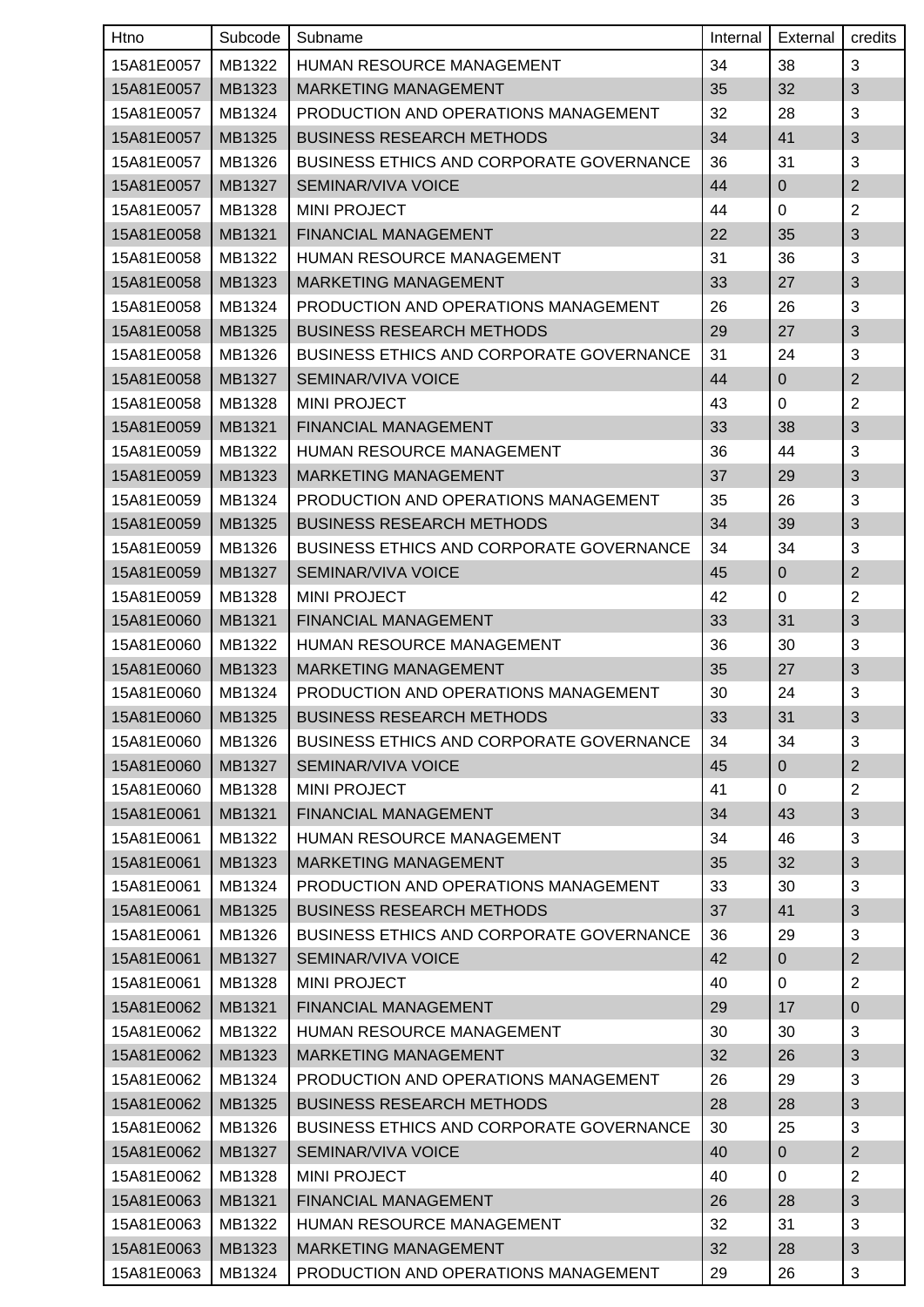| Htno       | Subcode | Subname                                         | Internal | External       | credits        |
|------------|---------|-------------------------------------------------|----------|----------------|----------------|
| 15A81E0057 | MB1322  | <b>HUMAN RESOURCE MANAGEMENT</b>                | 34       | 38             | 3              |
| 15A81E0057 | MB1323  | <b>MARKETING MANAGEMENT</b>                     | 35       | 32             | $\sqrt{3}$     |
| 15A81E0057 | MB1324  | PRODUCTION AND OPERATIONS MANAGEMENT            | 32       | 28             | 3              |
| 15A81E0057 | MB1325  | <b>BUSINESS RESEARCH METHODS</b>                | 34       | 41             | $\sqrt{3}$     |
| 15A81E0057 | MB1326  | <b>BUSINESS ETHICS AND CORPORATE GOVERNANCE</b> | 36       | 31             | 3              |
| 15A81E0057 | MB1327  | <b>SEMINAR/VIVA VOICE</b>                       | 44       | $\pmb{0}$      | $\mathbf{2}$   |
| 15A81E0057 | MB1328  | <b>MINI PROJECT</b>                             | 44       | 0              | $\overline{2}$ |
| 15A81E0058 | MB1321  | FINANCIAL MANAGEMENT                            | 22       | 35             | 3              |
| 15A81E0058 | MB1322  | HUMAN RESOURCE MANAGEMENT                       | 31       | 36             | 3              |
| 15A81E0058 | MB1323  | MARKETING MANAGEMENT                            | 33       | 27             | 3              |
| 15A81E0058 | MB1324  | PRODUCTION AND OPERATIONS MANAGEMENT            | 26       | 26             | 3              |
| 15A81E0058 | MB1325  | <b>BUSINESS RESEARCH METHODS</b>                | 29       | 27             | 3              |
| 15A81E0058 | MB1326  | <b>BUSINESS ETHICS AND CORPORATE GOVERNANCE</b> | 31       | 24             | 3              |
| 15A81E0058 | MB1327  | SEMINAR/VIVA VOICE                              | 44       | $\mathbf 0$    | $\mathbf{2}$   |
| 15A81E0058 | MB1328  | <b>MINI PROJECT</b>                             | 43       | 0              | $\overline{2}$ |
| 15A81E0059 | MB1321  | FINANCIAL MANAGEMENT                            | 33       | 38             | $\sqrt{3}$     |
| 15A81E0059 | MB1322  | HUMAN RESOURCE MANAGEMENT                       | 36       | 44             | 3              |
| 15A81E0059 | MB1323  | <b>MARKETING MANAGEMENT</b>                     | 37       | 29             | 3              |
| 15A81E0059 | MB1324  | PRODUCTION AND OPERATIONS MANAGEMENT            | 35       | 26             | 3              |
| 15A81E0059 | MB1325  | <b>BUSINESS RESEARCH METHODS</b>                | 34       | 39             | 3              |
| 15A81E0059 | MB1326  | <b>BUSINESS ETHICS AND CORPORATE GOVERNANCE</b> | 34       | 34             | 3              |
| 15A81E0059 | MB1327  | SEMINAR/VIVA VOICE                              | 45       | $\mathbf{0}$   | $\overline{2}$ |
| 15A81E0059 | MB1328  | <b>MINI PROJECT</b>                             | 42       | 0              | $\overline{2}$ |
| 15A81E0060 | MB1321  | FINANCIAL MANAGEMENT                            | 33       | 31             | 3              |
| 15A81E0060 | MB1322  | HUMAN RESOURCE MANAGEMENT                       | 36       | 30             | 3              |
| 15A81E0060 | MB1323  | <b>MARKETING MANAGEMENT</b>                     | 35       | 27             | $\sqrt{3}$     |
| 15A81E0060 | MB1324  | PRODUCTION AND OPERATIONS MANAGEMENT            | 30       | 24             | $\mathbf{3}$   |
| 15A81E0060 | MB1325  | <b>BUSINESS RESEARCH METHODS</b>                | 33       | 31             | $\sqrt{3}$     |
| 15A81E0060 | MB1326  | BUSINESS ETHICS AND CORPORATE GOVERNANCE        | 34       | 34             | 3              |
| 15A81E0060 | MB1327  | SEMINAR/VIVA VOICE                              | 45       | $\overline{0}$ | $\overline{2}$ |
| 15A81E0060 | MB1328  | <b>MINI PROJECT</b>                             | 41       | 0              | $\overline{2}$ |
| 15A81E0061 | MB1321  | FINANCIAL MANAGEMENT                            | 34       | 43             | 3              |
| 15A81E0061 | MB1322  | <b>HUMAN RESOURCE MANAGEMENT</b>                | 34       | 46             | 3              |
| 15A81E0061 | MB1323  | MARKETING MANAGEMENT                            | 35       | 32             | $\sqrt{3}$     |
| 15A81E0061 | MB1324  | PRODUCTION AND OPERATIONS MANAGEMENT            | 33       | 30             | 3              |
| 15A81E0061 | MB1325  | <b>BUSINESS RESEARCH METHODS</b>                | 37       | 41             | $\sqrt{3}$     |
| 15A81E0061 | MB1326  | <b>BUSINESS ETHICS AND CORPORATE GOVERNANCE</b> | 36       | 29             | 3              |
| 15A81E0061 | MB1327  | <b>SEMINAR/VIVA VOICE</b>                       | 42       | $\overline{0}$ | $\overline{2}$ |
| 15A81E0061 | MB1328  | <b>MINI PROJECT</b>                             | 40       | 0              | $\overline{2}$ |
| 15A81E0062 | MB1321  | FINANCIAL MANAGEMENT                            | 29       | 17             | $\pmb{0}$      |
| 15A81E0062 | MB1322  | HUMAN RESOURCE MANAGEMENT                       | 30       | 30             | 3              |
| 15A81E0062 | MB1323  | MARKETING MANAGEMENT                            | 32       | 26             | $\mathfrak{S}$ |
| 15A81E0062 | MB1324  | PRODUCTION AND OPERATIONS MANAGEMENT            | 26       | 29             | 3              |
| 15A81E0062 | MB1325  | <b>BUSINESS RESEARCH METHODS</b>                | 28       | 28             | $\sqrt{3}$     |
| 15A81E0062 | MB1326  | <b>BUSINESS ETHICS AND CORPORATE GOVERNANCE</b> | 30       | 25             | 3              |
| 15A81E0062 | MB1327  | SEMINAR/VIVA VOICE                              | 40       | $\pmb{0}$      | $\overline{c}$ |
| 15A81E0062 | MB1328  | <b>MINI PROJECT</b>                             | 40       | 0              | $\overline{2}$ |
| 15A81E0063 | MB1321  | FINANCIAL MANAGEMENT                            | 26       | 28             | 3              |
| 15A81E0063 | MB1322  | <b>HUMAN RESOURCE MANAGEMENT</b>                | 32       | 31             | 3              |
| 15A81E0063 | MB1323  | MARKETING MANAGEMENT                            | 32       | 28             | $\sqrt{3}$     |
| 15A81E0063 | MB1324  | PRODUCTION AND OPERATIONS MANAGEMENT            | 29       | 26             | 3              |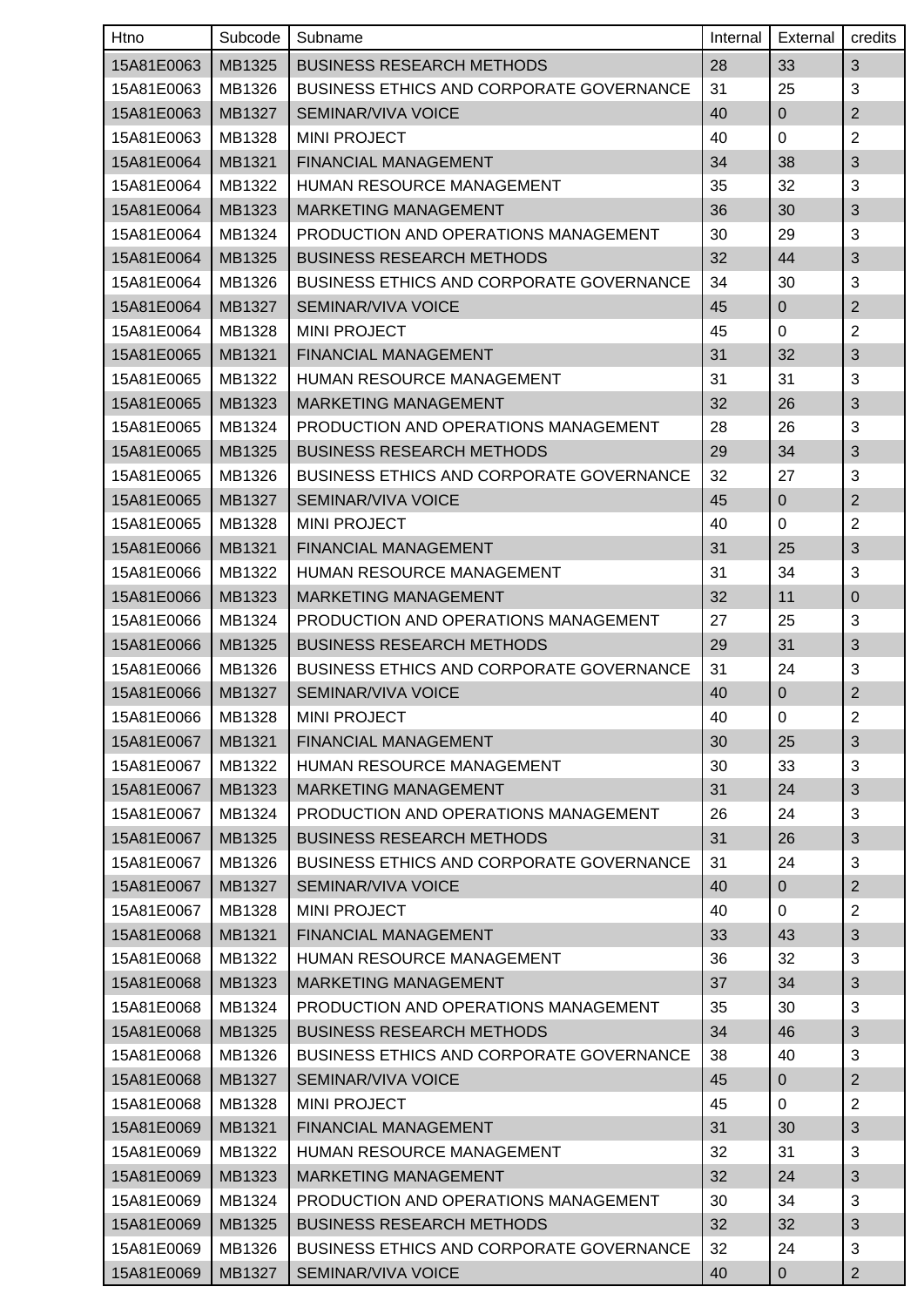| Htno       | Subcode | Subname                                         | Internal | External       | credits        |
|------------|---------|-------------------------------------------------|----------|----------------|----------------|
| 15A81E0063 | MB1325  | <b>BUSINESS RESEARCH METHODS</b>                | 28       | 33             | 3              |
| 15A81E0063 | MB1326  | BUSINESS ETHICS AND CORPORATE GOVERNANCE        | 31       | 25             | 3              |
| 15A81E0063 | MB1327  | SEMINAR/VIVA VOICE                              | 40       | $\mathbf 0$    | $\overline{2}$ |
| 15A81E0063 | MB1328  | <b>MINI PROJECT</b>                             | 40       | 0              | $\overline{2}$ |
| 15A81E0064 | MB1321  | FINANCIAL MANAGEMENT                            | 34       | 38             | 3              |
| 15A81E0064 | MB1322  | HUMAN RESOURCE MANAGEMENT                       | 35       | 32             | 3              |
| 15A81E0064 | MB1323  | <b>MARKETING MANAGEMENT</b>                     | 36       | 30             | 3              |
| 15A81E0064 | MB1324  | PRODUCTION AND OPERATIONS MANAGEMENT            | 30       | 29             | 3              |
| 15A81E0064 | MB1325  | <b>BUSINESS RESEARCH METHODS</b>                | 32       | 44             | $\sqrt{3}$     |
| 15A81E0064 | MB1326  | <b>BUSINESS ETHICS AND CORPORATE GOVERNANCE</b> | 34       | 30             | 3              |
| 15A81E0064 | MB1327  | SEMINAR/VIVA VOICE                              | 45       | $\pmb{0}$      | $\mathbf{2}$   |
| 15A81E0064 | MB1328  | <b>MINI PROJECT</b>                             | 45       | $\mathbf 0$    | $\overline{2}$ |
| 15A81E0065 | MB1321  | FINANCIAL MANAGEMENT                            | 31       | 32             | 3              |
| 15A81E0065 | MB1322  | <b>HUMAN RESOURCE MANAGEMENT</b>                | 31       | 31             | 3              |
| 15A81E0065 | MB1323  | <b>MARKETING MANAGEMENT</b>                     | 32       | 26             | 3              |
| 15A81E0065 | MB1324  | PRODUCTION AND OPERATIONS MANAGEMENT            | 28       | 26             | 3              |
| 15A81E0065 | MB1325  | <b>BUSINESS RESEARCH METHODS</b>                | 29       | 34             | $\sqrt{3}$     |
| 15A81E0065 | MB1326  | <b>BUSINESS ETHICS AND CORPORATE GOVERNANCE</b> | 32       | 27             | 3              |
| 15A81E0065 | MB1327  | <b>SEMINAR/VIVA VOICE</b>                       | 45       | $\mathbf 0$    | $\mathbf 2$    |
| 15A81E0065 | MB1328  | <b>MINI PROJECT</b>                             | 40       | $\mathbf 0$    | $\overline{2}$ |
| 15A81E0066 | MB1321  | FINANCIAL MANAGEMENT                            | 31       | 25             | $\sqrt{3}$     |
| 15A81E0066 | MB1322  | HUMAN RESOURCE MANAGEMENT                       | 31       | 34             | 3              |
| 15A81E0066 | MB1323  | <b>MARKETING MANAGEMENT</b>                     | 32       | 11             | 0              |
| 15A81E0066 | MB1324  | PRODUCTION AND OPERATIONS MANAGEMENT            | 27       | 25             | 3              |
| 15A81E0066 | MB1325  | <b>BUSINESS RESEARCH METHODS</b>                | 29       | 31             | $\sqrt{3}$     |
| 15A81E0066 | MB1326  | <b>BUSINESS ETHICS AND CORPORATE GOVERNANCE</b> | 31       | 24             | 3              |
| 15A81E0066 | MB1327  | SEMINAR/VIVA VOICE                              | 40       | $\mathbf 0$    | $\overline{2}$ |
| 15A81E0066 | MB1328  | <b>MINI PROJECT</b>                             | 40       | $\pmb{0}$      | $\overline{2}$ |
| 15A81E0067 | MB1321  | FINANCIAL MANAGEMENT                            | 30       | 25             | 3              |
| 15A81E0067 | MB1322  | HUMAN RESOURCE MANAGEMENT                       | 30       | 33             | 3              |
| 15A81E0067 | MB1323  | <b>MARKETING MANAGEMENT</b>                     | 31       | 24             | 3              |
| 15A81E0067 | MB1324  | PRODUCTION AND OPERATIONS MANAGEMENT            | 26       | 24             | 3              |
| 15A81E0067 | MB1325  | <b>BUSINESS RESEARCH METHODS</b>                | 31       | 26             | 3              |
| 15A81E0067 | MB1326  | <b>BUSINESS ETHICS AND CORPORATE GOVERNANCE</b> | 31       | 24             | 3              |
| 15A81E0067 | MB1327  | SEMINAR/VIVA VOICE                              | 40       | $\overline{0}$ | $\mathbf{2}$   |
| 15A81E0067 | MB1328  | <b>MINI PROJECT</b>                             | 40       | 0              | 2              |
| 15A81E0068 | MB1321  | FINANCIAL MANAGEMENT                            | 33       | 43             | 3              |
| 15A81E0068 | MB1322  | HUMAN RESOURCE MANAGEMENT                       | 36       | 32             | 3              |
| 15A81E0068 | MB1323  | <b>MARKETING MANAGEMENT</b>                     | 37       | 34             | $\sqrt{3}$     |
| 15A81E0068 | MB1324  | PRODUCTION AND OPERATIONS MANAGEMENT            | 35       | 30             | 3              |
| 15A81E0068 | MB1325  | <b>BUSINESS RESEARCH METHODS</b>                | 34       | 46             | 3              |
| 15A81E0068 | MB1326  | BUSINESS ETHICS AND CORPORATE GOVERNANCE        | 38       | 40             | 3              |
| 15A81E0068 | MB1327  | SEMINAR/VIVA VOICE                              | 45       | $\overline{0}$ | $\mathbf{2}$   |
| 15A81E0068 | MB1328  | <b>MINI PROJECT</b>                             | 45       | 0              | $\overline{c}$ |
| 15A81E0069 | MB1321  | FINANCIAL MANAGEMENT                            | 31       | 30             | 3              |
| 15A81E0069 | MB1322  | HUMAN RESOURCE MANAGEMENT                       | 32       | 31             | 3              |
| 15A81E0069 | MB1323  | <b>MARKETING MANAGEMENT</b>                     | 32       | 24             | $\sqrt{3}$     |
| 15A81E0069 | MB1324  | PRODUCTION AND OPERATIONS MANAGEMENT            | 30       | 34             | 3              |
| 15A81E0069 | MB1325  | <b>BUSINESS RESEARCH METHODS</b>                | 32       | 32             | 3              |
| 15A81E0069 | MB1326  | <b>BUSINESS ETHICS AND CORPORATE GOVERNANCE</b> | 32       | 24             | 3              |
| 15A81E0069 | MB1327  | SEMINAR/VIVA VOICE                              | 40       | 0              | $\overline{2}$ |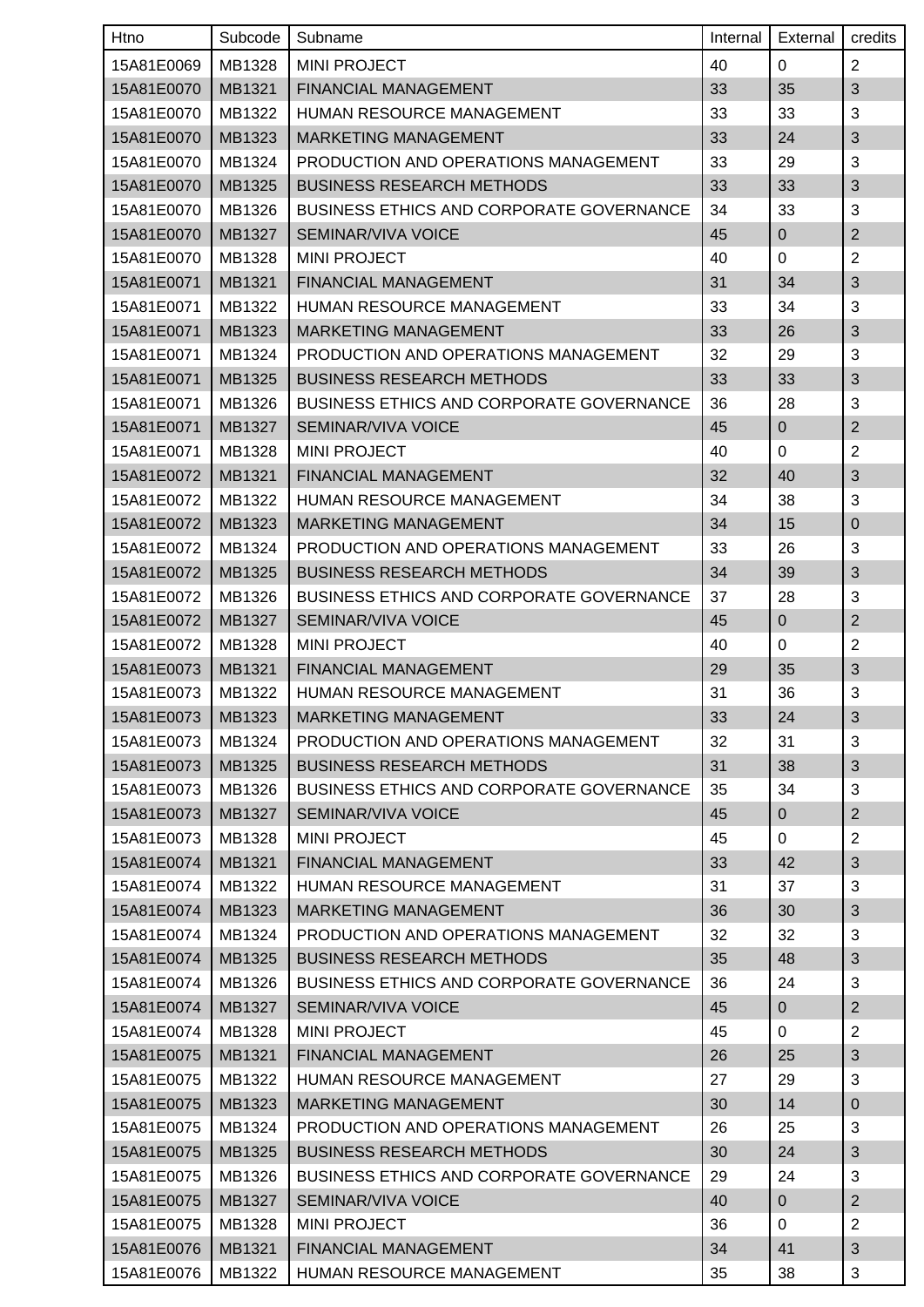| Htno       | Subcode | Subname                                         | Internal | External       | credits                   |
|------------|---------|-------------------------------------------------|----------|----------------|---------------------------|
| 15A81E0069 | MB1328  | <b>MINI PROJECT</b>                             | 40       | 0              | $\overline{2}$            |
| 15A81E0070 | MB1321  | <b>FINANCIAL MANAGEMENT</b>                     | 33       | 35             | 3                         |
| 15A81E0070 | MB1322  | HUMAN RESOURCE MANAGEMENT                       | 33       | 33             | 3                         |
| 15A81E0070 | MB1323  | <b>MARKETING MANAGEMENT</b>                     | 33       | 24             | $\ensuremath{\mathsf{3}}$ |
| 15A81E0070 | MB1324  | PRODUCTION AND OPERATIONS MANAGEMENT            | 33       | 29             | 3                         |
| 15A81E0070 | MB1325  | <b>BUSINESS RESEARCH METHODS</b>                | 33       | 33             | $\sqrt{3}$                |
| 15A81E0070 | MB1326  | <b>BUSINESS ETHICS AND CORPORATE GOVERNANCE</b> | 34       | 33             | 3                         |
| 15A81E0070 | MB1327  | SEMINAR/VIVA VOICE                              | 45       | $\mathbf 0$    | $\overline{2}$            |
| 15A81E0070 | MB1328  | <b>MINI PROJECT</b>                             | 40       | 0              | $\overline{2}$            |
| 15A81E0071 | MB1321  | FINANCIAL MANAGEMENT                            | 31       | 34             | 3                         |
| 15A81E0071 | MB1322  | HUMAN RESOURCE MANAGEMENT                       | 33       | 34             | 3                         |
| 15A81E0071 | MB1323  | <b>MARKETING MANAGEMENT</b>                     | 33       | 26             | 3                         |
| 15A81E0071 | MB1324  | PRODUCTION AND OPERATIONS MANAGEMENT            | 32       | 29             | 3                         |
| 15A81E0071 | MB1325  | <b>BUSINESS RESEARCH METHODS</b>                | 33       | 33             | $\sqrt{3}$                |
| 15A81E0071 | MB1326  | <b>BUSINESS ETHICS AND CORPORATE GOVERNANCE</b> | 36       | 28             | 3                         |
| 15A81E0071 | MB1327  | <b>SEMINAR/VIVA VOICE</b>                       | 45       | $\mathbf 0$    | $\mathbf{2}$              |
| 15A81E0071 | MB1328  | <b>MINI PROJECT</b>                             | 40       | 0              | $\overline{2}$            |
| 15A81E0072 | MB1321  | FINANCIAL MANAGEMENT                            | 32       | 40             | 3                         |
| 15A81E0072 | MB1322  | HUMAN RESOURCE MANAGEMENT                       | 34       | 38             | 3                         |
| 15A81E0072 | MB1323  | MARKETING MANAGEMENT                            | 34       | 15             | $\pmb{0}$                 |
| 15A81E0072 | MB1324  | PRODUCTION AND OPERATIONS MANAGEMENT            | 33       | 26             | 3                         |
| 15A81E0072 | MB1325  | <b>BUSINESS RESEARCH METHODS</b>                | 34       | 39             | 3                         |
| 15A81E0072 | MB1326  | <b>BUSINESS ETHICS AND CORPORATE GOVERNANCE</b> | 37       | 28             | 3                         |
| 15A81E0072 | MB1327  | SEMINAR/VIVA VOICE                              | 45       | $\pmb{0}$      | $\mathbf{2}$              |
| 15A81E0072 | MB1328  | <b>MINI PROJECT</b>                             | 40       | 0              | $\overline{2}$            |
| 15A81E0073 | MB1321  | FINANCIAL MANAGEMENT                            | 29       | 35             | $\sqrt{3}$                |
| 15A81E0073 | MB1322  | HUMAN RESOURCE MANAGEMENT                       | 31       | 36             | $\mathbf{3}$              |
| 15A81E0073 | MB1323  | MARKETING MANAGEMENT                            | 33       | 24             | $\sqrt{3}$                |
| 15A81E0073 | MB1324  | PRODUCTION AND OPERATIONS MANAGEMENT            | 32       | 31             | 3                         |
| 15A81E0073 | MB1325  | <b>BUSINESS RESEARCH METHODS</b>                | 31       | 38             | 3                         |
| 15A81E0073 | MB1326  | <b>BUSINESS ETHICS AND CORPORATE GOVERNANCE</b> | 35       | 34             | 3                         |
| 15A81E0073 | MB1327  | SEMINAR/VIVA VOICE                              | 45       | $\overline{0}$ | $\overline{2}$            |
| 15A81E0073 | MB1328  | <b>MINI PROJECT</b>                             | 45       | 0              | $\overline{2}$            |
| 15A81E0074 | MB1321  | FINANCIAL MANAGEMENT                            | 33       | 42             | $\sqrt{3}$                |
| 15A81E0074 | MB1322  | HUMAN RESOURCE MANAGEMENT                       | 31       | 37             | 3                         |
| 15A81E0074 | MB1323  | MARKETING MANAGEMENT                            | 36       | 30             | $\sqrt{3}$                |
| 15A81E0074 | MB1324  | PRODUCTION AND OPERATIONS MANAGEMENT            | 32       | 32             | 3                         |
| 15A81E0074 | MB1325  | <b>BUSINESS RESEARCH METHODS</b>                | 35       | 48             | $\mathfrak{S}$            |
| 15A81E0074 | MB1326  | <b>BUSINESS ETHICS AND CORPORATE GOVERNANCE</b> | 36       | 24             | 3                         |
| 15A81E0074 | MB1327  | SEMINAR/VIVA VOICE                              | 45       | $\overline{0}$ | $\overline{2}$            |
| 15A81E0074 | MB1328  | <b>MINI PROJECT</b>                             | 45       | 0              | $\overline{2}$            |
| 15A81E0075 | MB1321  | FINANCIAL MANAGEMENT                            | 26       | 25             | 3                         |
| 15A81E0075 | MB1322  | HUMAN RESOURCE MANAGEMENT                       | 27       | 29             | 3                         |
| 15A81E0075 | MB1323  | <b>MARKETING MANAGEMENT</b>                     | 30       | 14             | $\mathbf 0$               |
| 15A81E0075 | MB1324  | PRODUCTION AND OPERATIONS MANAGEMENT            | 26       | 25             | 3                         |
| 15A81E0075 | MB1325  | <b>BUSINESS RESEARCH METHODS</b>                | 30       | 24             | $\sqrt{3}$                |
| 15A81E0075 | MB1326  | BUSINESS ETHICS AND CORPORATE GOVERNANCE        | 29       | 24             | 3                         |
| 15A81E0075 | MB1327  | SEMINAR/VIVA VOICE                              | 40       | $\overline{0}$ | $\overline{c}$            |
| 15A81E0075 | MB1328  | <b>MINI PROJECT</b>                             | 36       | 0              | $\overline{2}$            |
| 15A81E0076 | MB1321  | FINANCIAL MANAGEMENT                            | 34       | 41             | $\sqrt{3}$                |
| 15A81E0076 | MB1322  | HUMAN RESOURCE MANAGEMENT                       | 35       | 38             | 3                         |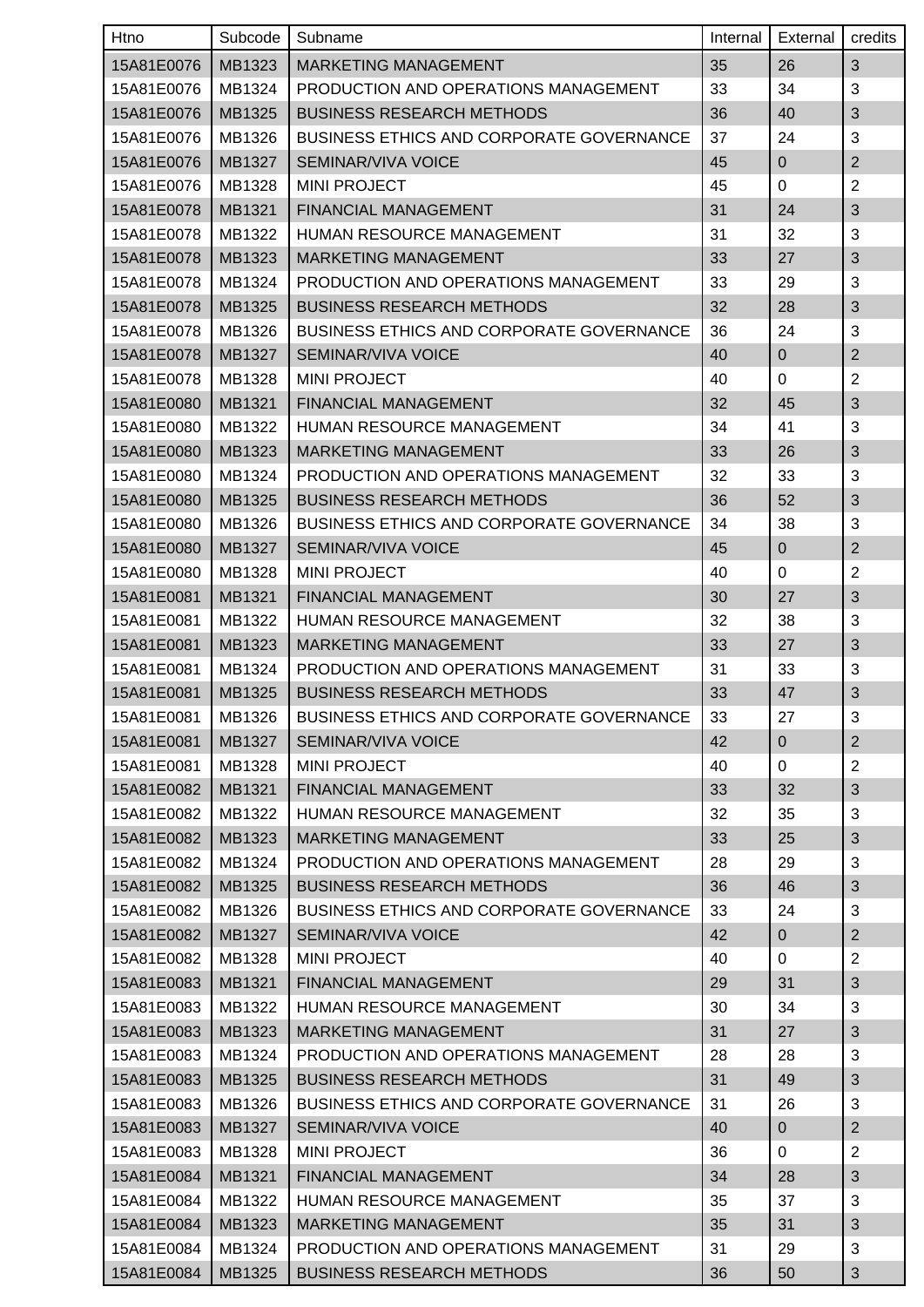| Htno       | Subcode | Subname                                         | Internal | External       | credits        |
|------------|---------|-------------------------------------------------|----------|----------------|----------------|
| 15A81E0076 | MB1323  | <b>MARKETING MANAGEMENT</b>                     | 35       | 26             | 3              |
| 15A81E0076 | MB1324  | PRODUCTION AND OPERATIONS MANAGEMENT            | 33       | 34             | 3              |
| 15A81E0076 | MB1325  | <b>BUSINESS RESEARCH METHODS</b>                | 36       | 40             | 3              |
| 15A81E0076 | MB1326  | <b>BUSINESS ETHICS AND CORPORATE GOVERNANCE</b> | 37       | 24             | 3              |
| 15A81E0076 | MB1327  | SEMINAR/VIVA VOICE                              | 45       | $\mathbf 0$    | $\overline{2}$ |
| 15A81E0076 | MB1328  | <b>MINI PROJECT</b>                             | 45       | 0              | $\overline{2}$ |
| 15A81E0078 | MB1321  | FINANCIAL MANAGEMENT                            | 31       | 24             | 3              |
| 15A81E0078 | MB1322  | HUMAN RESOURCE MANAGEMENT                       | 31       | 32             | 3              |
| 15A81E0078 | MB1323  | <b>MARKETING MANAGEMENT</b>                     | 33       | 27             | $\sqrt{3}$     |
| 15A81E0078 | MB1324  | PRODUCTION AND OPERATIONS MANAGEMENT            | 33       | 29             | 3              |
| 15A81E0078 | MB1325  | <b>BUSINESS RESEARCH METHODS</b>                | 32       | 28             | $\sqrt{3}$     |
| 15A81E0078 | MB1326  | BUSINESS ETHICS AND CORPORATE GOVERNANCE        | 36       | 24             | 3              |
| 15A81E0078 | MB1327  | SEMINAR/VIVA VOICE                              | 40       | $\pmb{0}$      | $\overline{2}$ |
| 15A81E0078 | MB1328  | <b>MINI PROJECT</b>                             | 40       | 0              | $\overline{c}$ |
| 15A81E0080 | MB1321  | FINANCIAL MANAGEMENT                            | 32       | 45             | 3              |
| 15A81E0080 | MB1322  | HUMAN RESOURCE MANAGEMENT                       | 34       | 41             | 3              |
| 15A81E0080 | MB1323  | <b>MARKETING MANAGEMENT</b>                     | 33       | 26             | $\sqrt{3}$     |
| 15A81E0080 | MB1324  | PRODUCTION AND OPERATIONS MANAGEMENT            | 32       | 33             | 3              |
| 15A81E0080 | MB1325  | <b>BUSINESS RESEARCH METHODS</b>                | 36       | 52             | 3              |
| 15A81E0080 | MB1326  | BUSINESS ETHICS AND CORPORATE GOVERNANCE        | 34       | 38             | 3              |
| 15A81E0080 | MB1327  | SEMINAR/VIVA VOICE                              | 45       | $\pmb{0}$      | $\mathbf{2}$   |
| 15A81E0080 | MB1328  | <b>MINI PROJECT</b>                             | 40       | 0              | $\overline{2}$ |
| 15A81E0081 | MB1321  | FINANCIAL MANAGEMENT                            | 30       | 27             | 3              |
| 15A81E0081 | MB1322  | HUMAN RESOURCE MANAGEMENT                       | 32       | 38             | 3              |
| 15A81E0081 | MB1323  | <b>MARKETING MANAGEMENT</b>                     | 33       | 27             | $\sqrt{3}$     |
| 15A81E0081 | MB1324  | PRODUCTION AND OPERATIONS MANAGEMENT            | 31       | 33             | 3              |
| 15A81E0081 | MB1325  | <b>BUSINESS RESEARCH METHODS</b>                | 33       | 47             | $\mathfrak{S}$ |
| 15A81E0081 | MB1326  | BUSINESS ETHICS AND CORPORATE GOVERNANCE        | 33       | 27             | 3              |
| 15A81E0081 | MB1327  | SEMINAR/VIVA VOICE                              | 42       | $\pmb{0}$      | $\overline{2}$ |
| 15A81E0081 | MB1328  | <b>MINI PROJECT</b>                             | 40       | 0              | $\overline{2}$ |
| 15A81E0082 | MB1321  | FINANCIAL MANAGEMENT                            | 33       | 32             | $\sqrt{3}$     |
| 15A81E0082 | MB1322  | HUMAN RESOURCE MANAGEMENT                       | 32       | 35             | 3              |
| 15A81E0082 | MB1323  | <b>MARKETING MANAGEMENT</b>                     | 33       | 25             | $\sqrt{3}$     |
| 15A81E0082 | MB1324  | PRODUCTION AND OPERATIONS MANAGEMENT            | 28       | 29             | 3              |
| 15A81E0082 | MB1325  | <b>BUSINESS RESEARCH METHODS</b>                | 36       | 46             | 3              |
| 15A81E0082 | MB1326  | <b>BUSINESS ETHICS AND CORPORATE GOVERNANCE</b> | 33       | 24             | 3              |
| 15A81E0082 | MB1327  | <b>SEMINAR/VIVA VOICE</b>                       | 42       | $\overline{0}$ | $\overline{2}$ |
| 15A81E0082 | MB1328  | <b>MINI PROJECT</b>                             | 40       | 0              | $\overline{2}$ |
| 15A81E0083 | MB1321  | FINANCIAL MANAGEMENT                            | 29       | 31             | $\sqrt{3}$     |
| 15A81E0083 | MB1322  | HUMAN RESOURCE MANAGEMENT                       | 30       | 34             | 3              |
| 15A81E0083 | MB1323  | <b>MARKETING MANAGEMENT</b>                     | 31       | 27             | 3              |
| 15A81E0083 | MB1324  | PRODUCTION AND OPERATIONS MANAGEMENT            | 28       | 28             | 3              |
| 15A81E0083 | MB1325  | <b>BUSINESS RESEARCH METHODS</b>                | 31       | 49             | $\sqrt{3}$     |
| 15A81E0083 | MB1326  | BUSINESS ETHICS AND CORPORATE GOVERNANCE        | 31       | 26             | 3              |
| 15A81E0083 | MB1327  | SEMINAR/VIVA VOICE                              | 40       | $\overline{0}$ | $\overline{2}$ |
| 15A81E0083 | MB1328  | <b>MINI PROJECT</b>                             | 36       | 0              | $\overline{c}$ |
| 15A81E0084 | MB1321  | FINANCIAL MANAGEMENT                            | 34       | 28             | $\sqrt{3}$     |
| 15A81E0084 | MB1322  | HUMAN RESOURCE MANAGEMENT                       | 35       | 37             | 3              |
| 15A81E0084 | MB1323  | <b>MARKETING MANAGEMENT</b>                     | 35       | 31             | $\sqrt{3}$     |
| 15A81E0084 | MB1324  | PRODUCTION AND OPERATIONS MANAGEMENT            | 31       | 29             | 3              |
| 15A81E0084 | MB1325  | <b>BUSINESS RESEARCH METHODS</b>                | 36       | 50             | 3              |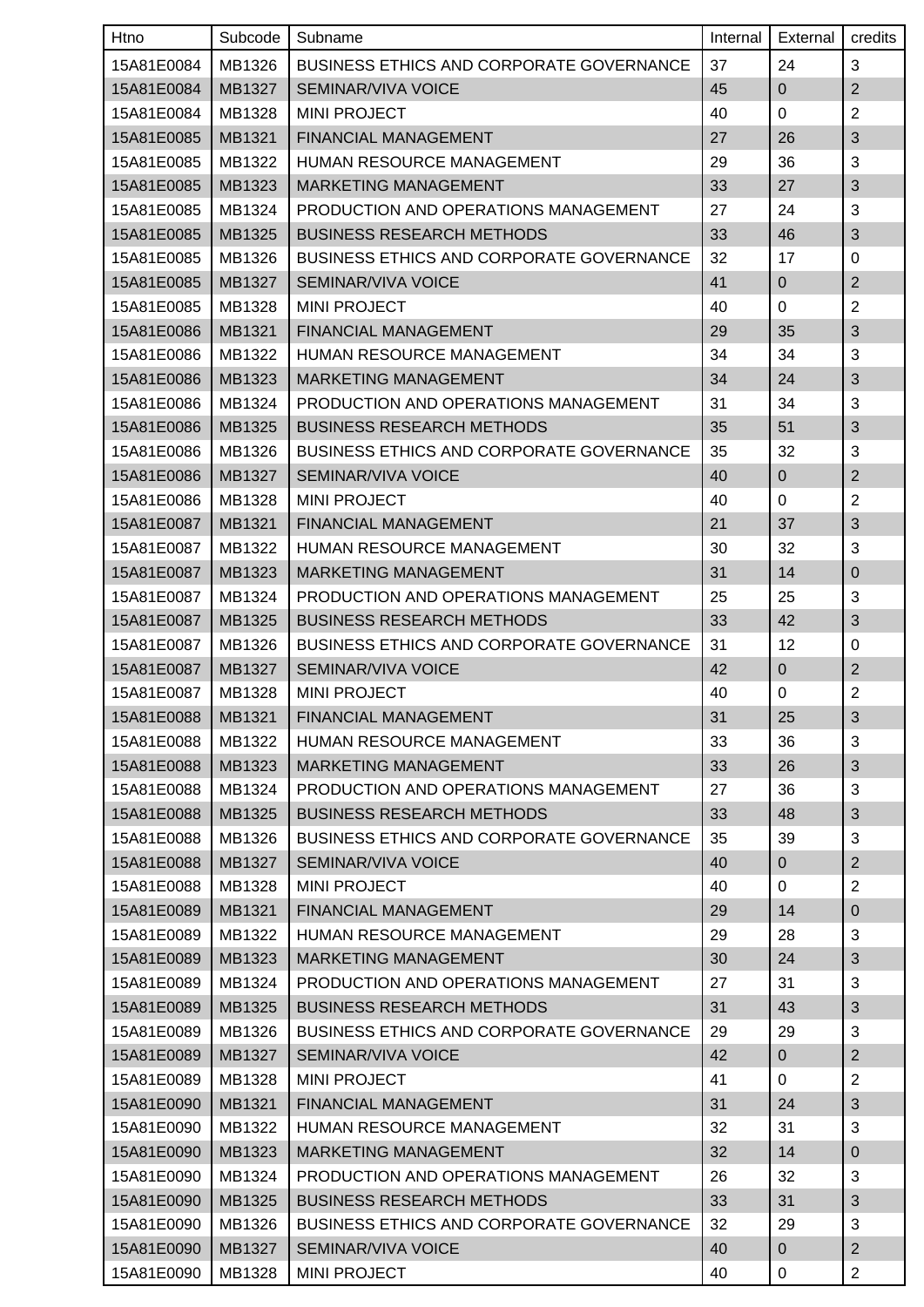| Htno       | Subcode | Subname                                         | Internal | External       | credits        |
|------------|---------|-------------------------------------------------|----------|----------------|----------------|
| 15A81E0084 | MB1326  | <b>BUSINESS ETHICS AND CORPORATE GOVERNANCE</b> | 37       | 24             | 3              |
| 15A81E0084 | MB1327  | <b>SEMINAR/VIVA VOICE</b>                       | 45       | $\overline{0}$ | $\overline{2}$ |
| 15A81E0084 | MB1328  | <b>MINI PROJECT</b>                             | 40       | 0              | $\overline{2}$ |
| 15A81E0085 | MB1321  | FINANCIAL MANAGEMENT                            | 27       | 26             | $\sqrt{3}$     |
| 15A81E0085 | MB1322  | HUMAN RESOURCE MANAGEMENT                       | 29       | 36             | 3              |
| 15A81E0085 | MB1323  | <b>MARKETING MANAGEMENT</b>                     | 33       | 27             | $\sqrt{3}$     |
| 15A81E0085 | MB1324  | PRODUCTION AND OPERATIONS MANAGEMENT            | 27       | 24             | 3              |
| 15A81E0085 | MB1325  | <b>BUSINESS RESEARCH METHODS</b>                | 33       | 46             | 3              |
| 15A81E0085 | MB1326  | <b>BUSINESS ETHICS AND CORPORATE GOVERNANCE</b> | 32       | 17             | 0              |
| 15A81E0085 | MB1327  | SEMINAR/VIVA VOICE                              | 41       | $\pmb{0}$      | $\overline{2}$ |
| 15A81E0085 | MB1328  | <b>MINI PROJECT</b>                             | 40       | 0              | $\overline{2}$ |
| 15A81E0086 | MB1321  | <b>FINANCIAL MANAGEMENT</b>                     | 29       | 35             | 3              |
| 15A81E0086 | MB1322  | <b>HUMAN RESOURCE MANAGEMENT</b>                | 34       | 34             | 3              |
| 15A81E0086 | MB1323  | <b>MARKETING MANAGEMENT</b>                     | 34       | 24             | 3              |
| 15A81E0086 | MB1324  | PRODUCTION AND OPERATIONS MANAGEMENT            | 31       | 34             | 3              |
| 15A81E0086 | MB1325  | <b>BUSINESS RESEARCH METHODS</b>                | 35       | 51             | $\sqrt{3}$     |
| 15A81E0086 | MB1326  | <b>BUSINESS ETHICS AND CORPORATE GOVERNANCE</b> | 35       | 32             | 3              |
| 15A81E0086 | MB1327  | <b>SEMINAR/VIVA VOICE</b>                       | 40       | 0              | $\overline{2}$ |
| 15A81E0086 | MB1328  | <b>MINI PROJECT</b>                             | 40       | 0              | $\overline{2}$ |
| 15A81E0087 | MB1321  | FINANCIAL MANAGEMENT                            | 21       | 37             | 3              |
| 15A81E0087 | MB1322  | HUMAN RESOURCE MANAGEMENT                       | 30       | 32             | 3              |
| 15A81E0087 | MB1323  | <b>MARKETING MANAGEMENT</b>                     | 31       | 14             | $\pmb{0}$      |
| 15A81E0087 | MB1324  | PRODUCTION AND OPERATIONS MANAGEMENT            | 25       | 25             | 3              |
| 15A81E0087 | MB1325  | <b>BUSINESS RESEARCH METHODS</b>                | 33       | 42             | 3              |
| 15A81E0087 | MB1326  | <b>BUSINESS ETHICS AND CORPORATE GOVERNANCE</b> | 31       | 12             | 0              |
| 15A81E0087 | MB1327  | SEMINAR/VIVA VOICE                              | 42       | $\pmb{0}$      | $\mathbf{2}$   |
| 15A81E0087 | MB1328  | <b>MINI PROJECT</b>                             | 40       | 0              | $\overline{2}$ |
| 15A81E0088 | MB1321  | <b>FINANCIAL MANAGEMENT</b>                     | 31       | 25             | 3              |
| 15A81E0088 | MB1322  | HUMAN RESOURCE MANAGEMENT                       | 33       | 36             | 3              |
| 15A81E0088 | MB1323  | <b>MARKETING MANAGEMENT</b>                     | 33       | 26             | 3              |
| 15A81E0088 | MB1324  | PRODUCTION AND OPERATIONS MANAGEMENT            | 27       | 36             | 3              |
| 15A81E0088 | MB1325  | <b>BUSINESS RESEARCH METHODS</b>                | 33       | 48             | 3              |
| 15A81E0088 | MB1326  | <b>BUSINESS ETHICS AND CORPORATE GOVERNANCE</b> | 35       | 39             | 3              |
| 15A81E0088 | MB1327  | SEMINAR/VIVA VOICE                              | 40       | $\overline{0}$ | $\overline{2}$ |
| 15A81E0088 | MB1328  | <b>MINI PROJECT</b>                             | 40       | 0              | $\overline{c}$ |
| 15A81E0089 | MB1321  | FINANCIAL MANAGEMENT                            | 29       | 14             | $\pmb{0}$      |
| 15A81E0089 | MB1322  | HUMAN RESOURCE MANAGEMENT                       | 29       | 28             | 3              |
| 15A81E0089 | MB1323  | MARKETING MANAGEMENT                            | 30       | 24             | $\mathfrak{S}$ |
| 15A81E0089 | MB1324  | PRODUCTION AND OPERATIONS MANAGEMENT            | 27       | 31             | 3              |
| 15A81E0089 | MB1325  | <b>BUSINESS RESEARCH METHODS</b>                | 31       | 43             | $\sqrt{3}$     |
| 15A81E0089 | MB1326  | <b>BUSINESS ETHICS AND CORPORATE GOVERNANCE</b> | 29       | 29             | 3              |
| 15A81E0089 | MB1327  | SEMINAR/VIVA VOICE                              | 42       | $\overline{0}$ | $\overline{2}$ |
| 15A81E0089 | MB1328  | <b>MINI PROJECT</b>                             | 41       | 0              | $\overline{c}$ |
| 15A81E0090 | MB1321  | FINANCIAL MANAGEMENT                            | 31       | 24             | $\sqrt{3}$     |
| 15A81E0090 | MB1322  | HUMAN RESOURCE MANAGEMENT                       | 32       | 31             | 3              |
| 15A81E0090 | MB1323  | MARKETING MANAGEMENT                            | 32       | 14             | $\pmb{0}$      |
| 15A81E0090 | MB1324  | PRODUCTION AND OPERATIONS MANAGEMENT            | 26       | 32             | 3              |
| 15A81E0090 | MB1325  | <b>BUSINESS RESEARCH METHODS</b>                | 33       | 31             | $\mathfrak{S}$ |
| 15A81E0090 | MB1326  | <b>BUSINESS ETHICS AND CORPORATE GOVERNANCE</b> | 32       | 29             | 3              |
| 15A81E0090 | MB1327  | SEMINAR/VIVA VOICE                              | 40       | 0              | $\overline{2}$ |
| 15A81E0090 | MB1328  | <b>MINI PROJECT</b>                             | 40       | 0              | $\overline{c}$ |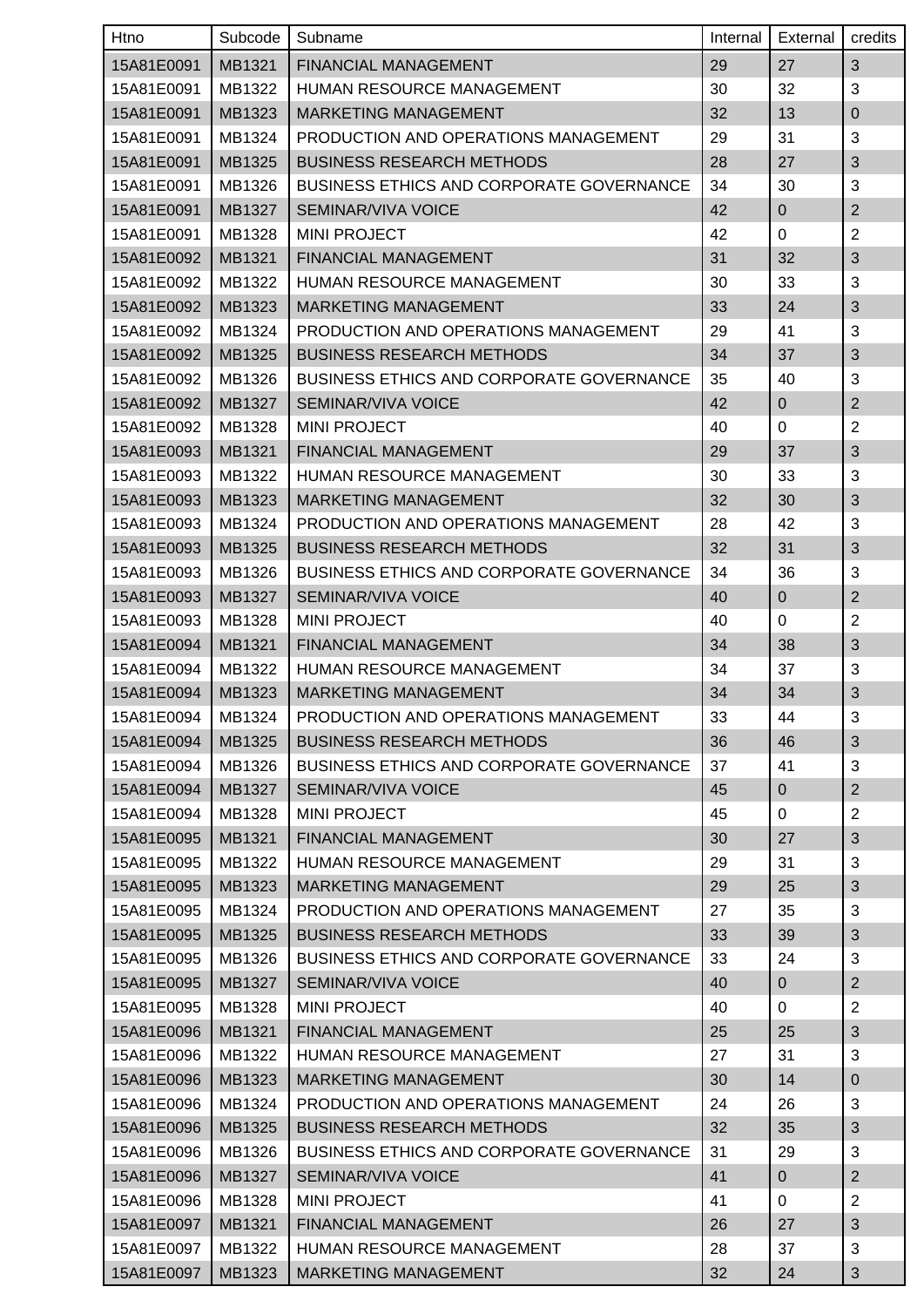| Htno       | Subcode | Subname                                         | Internal | External       | credits                   |
|------------|---------|-------------------------------------------------|----------|----------------|---------------------------|
| 15A81E0091 | MB1321  | <b>FINANCIAL MANAGEMENT</b>                     | 29       | 27             | 3                         |
| 15A81E0091 | MB1322  | HUMAN RESOURCE MANAGEMENT                       | 30       | 32             | 3                         |
| 15A81E0091 | MB1323  | <b>MARKETING MANAGEMENT</b>                     | 32       | 13             | $\pmb{0}$                 |
| 15A81E0091 | MB1324  | PRODUCTION AND OPERATIONS MANAGEMENT            | 29       | 31             | 3                         |
| 15A81E0091 | MB1325  | <b>BUSINESS RESEARCH METHODS</b>                | 28       | 27             | 3                         |
| 15A81E0091 | MB1326  | <b>BUSINESS ETHICS AND CORPORATE GOVERNANCE</b> | 34       | 30             | 3                         |
| 15A81E0091 | MB1327  | SEMINAR/VIVA VOICE                              | 42       | $\overline{0}$ | $\mathbf{2}$              |
| 15A81E0091 | MB1328  | <b>MINI PROJECT</b>                             | 42       | 0              | $\overline{2}$            |
| 15A81E0092 | MB1321  | FINANCIAL MANAGEMENT                            | 31       | 32             | $\ensuremath{\mathsf{3}}$ |
| 15A81E0092 | MB1322  | HUMAN RESOURCE MANAGEMENT                       | 30       | 33             | 3                         |
| 15A81E0092 | MB1323  | <b>MARKETING MANAGEMENT</b>                     | 33       | 24             | $\sqrt{3}$                |
| 15A81E0092 | MB1324  | PRODUCTION AND OPERATIONS MANAGEMENT            | 29       | 41             | 3                         |
| 15A81E0092 | MB1325  | <b>BUSINESS RESEARCH METHODS</b>                | 34       | 37             | 3                         |
| 15A81E0092 | MB1326  | <b>BUSINESS ETHICS AND CORPORATE GOVERNANCE</b> | 35       | 40             | 3                         |
| 15A81E0092 | MB1327  | SEMINAR/VIVA VOICE                              | 42       | 0              | $\overline{2}$            |
| 15A81E0092 | MB1328  | <b>MINI PROJECT</b>                             | 40       | 0              | $\overline{2}$            |
| 15A81E0093 | MB1321  | FINANCIAL MANAGEMENT                            | 29       | 37             | 3                         |
| 15A81E0093 | MB1322  | <b>HUMAN RESOURCE MANAGEMENT</b>                | 30       | 33             | 3                         |
| 15A81E0093 | MB1323  | <b>MARKETING MANAGEMENT</b>                     | 32       | 30             | $\sqrt{3}$                |
| 15A81E0093 | MB1324  | PRODUCTION AND OPERATIONS MANAGEMENT            | 28       | 42             | 3                         |
| 15A81E0093 | MB1325  | <b>BUSINESS RESEARCH METHODS</b>                | 32       | 31             | $\sqrt{3}$                |
| 15A81E0093 | MB1326  | BUSINESS ETHICS AND CORPORATE GOVERNANCE        | 34       | 36             | 3                         |
| 15A81E0093 | MB1327  | SEMINAR/VIVA VOICE                              | 40       | 0              | $\mathbf{2}$              |
| 15A81E0093 | MB1328  | <b>MINI PROJECT</b>                             | 40       | 0              | $\overline{2}$            |
| 15A81E0094 | MB1321  | FINANCIAL MANAGEMENT                            | 34       | 38             | 3                         |
| 15A81E0094 | MB1322  | HUMAN RESOURCE MANAGEMENT                       | 34       | 37             | 3                         |
| 15A81E0094 | MB1323  | MARKETING MANAGEMENT                            | 34       | 34             | 3                         |
| 15A81E0094 | MB1324  | PRODUCTION AND OPERATIONS MANAGEMENT            | 33       | 44             | 3                         |
| 15A81E0094 | MB1325  | <b>BUSINESS RESEARCH METHODS</b>                | 36       | 46             | 3                         |
| 15A81E0094 | MB1326  | <b>BUSINESS ETHICS AND CORPORATE GOVERNANCE</b> | 37       | 41             | 3                         |
| 15A81E0094 | MB1327  | SEMINAR/VIVA VOICE                              | 45       | $\overline{0}$ | $\overline{c}$            |
| 15A81E0094 | MB1328  | <b>MINI PROJECT</b>                             | 45       | $\mathbf 0$    | $\overline{2}$            |
| 15A81E0095 | MB1321  | FINANCIAL MANAGEMENT                            | 30       | 27             | 3                         |
| 15A81E0095 | MB1322  | HUMAN RESOURCE MANAGEMENT                       | 29       | 31             | 3                         |
| 15A81E0095 | MB1323  | <b>MARKETING MANAGEMENT</b>                     | 29       | 25             | $\sqrt{3}$                |
| 15A81E0095 | MB1324  | PRODUCTION AND OPERATIONS MANAGEMENT            | 27       | 35             | 3                         |
| 15A81E0095 | MB1325  | <b>BUSINESS RESEARCH METHODS</b>                | 33       | 39             | $\mathfrak{S}$            |
| 15A81E0095 | MB1326  | <b>BUSINESS ETHICS AND CORPORATE GOVERNANCE</b> | 33       | 24             | 3                         |
| 15A81E0095 | MB1327  | SEMINAR/VIVA VOICE                              | 40       | $\overline{0}$ | $\overline{2}$            |
| 15A81E0095 | MB1328  | <b>MINI PROJECT</b>                             | 40       | 0              | $\overline{2}$            |
| 15A81E0096 | MB1321  | FINANCIAL MANAGEMENT                            | 25       | 25             | $\sqrt{3}$                |
| 15A81E0096 | MB1322  | HUMAN RESOURCE MANAGEMENT                       | 27       | 31             | 3                         |
| 15A81E0096 | MB1323  | MARKETING MANAGEMENT                            | 30       | 14             | $\pmb{0}$                 |
| 15A81E0096 | MB1324  | PRODUCTION AND OPERATIONS MANAGEMENT            | 24       | 26             | 3                         |
| 15A81E0096 | MB1325  | <b>BUSINESS RESEARCH METHODS</b>                | 32       | 35             | $\sqrt{3}$                |
| 15A81E0096 | MB1326  | <b>BUSINESS ETHICS AND CORPORATE GOVERNANCE</b> | 31       | 29             | 3                         |
| 15A81E0096 | MB1327  | SEMINAR/VIVA VOICE                              | 41       | $\overline{0}$ | $\overline{2}$            |
| 15A81E0096 | MB1328  | <b>MINI PROJECT</b>                             | 41       | 0              | 2                         |
| 15A81E0097 | MB1321  | FINANCIAL MANAGEMENT                            | 26       | 27             | 3                         |
| 15A81E0097 | MB1322  | HUMAN RESOURCE MANAGEMENT                       | 28       | 37             | 3                         |
| 15A81E0097 | MB1323  | <b>MARKETING MANAGEMENT</b>                     | 32       | 24             | 3                         |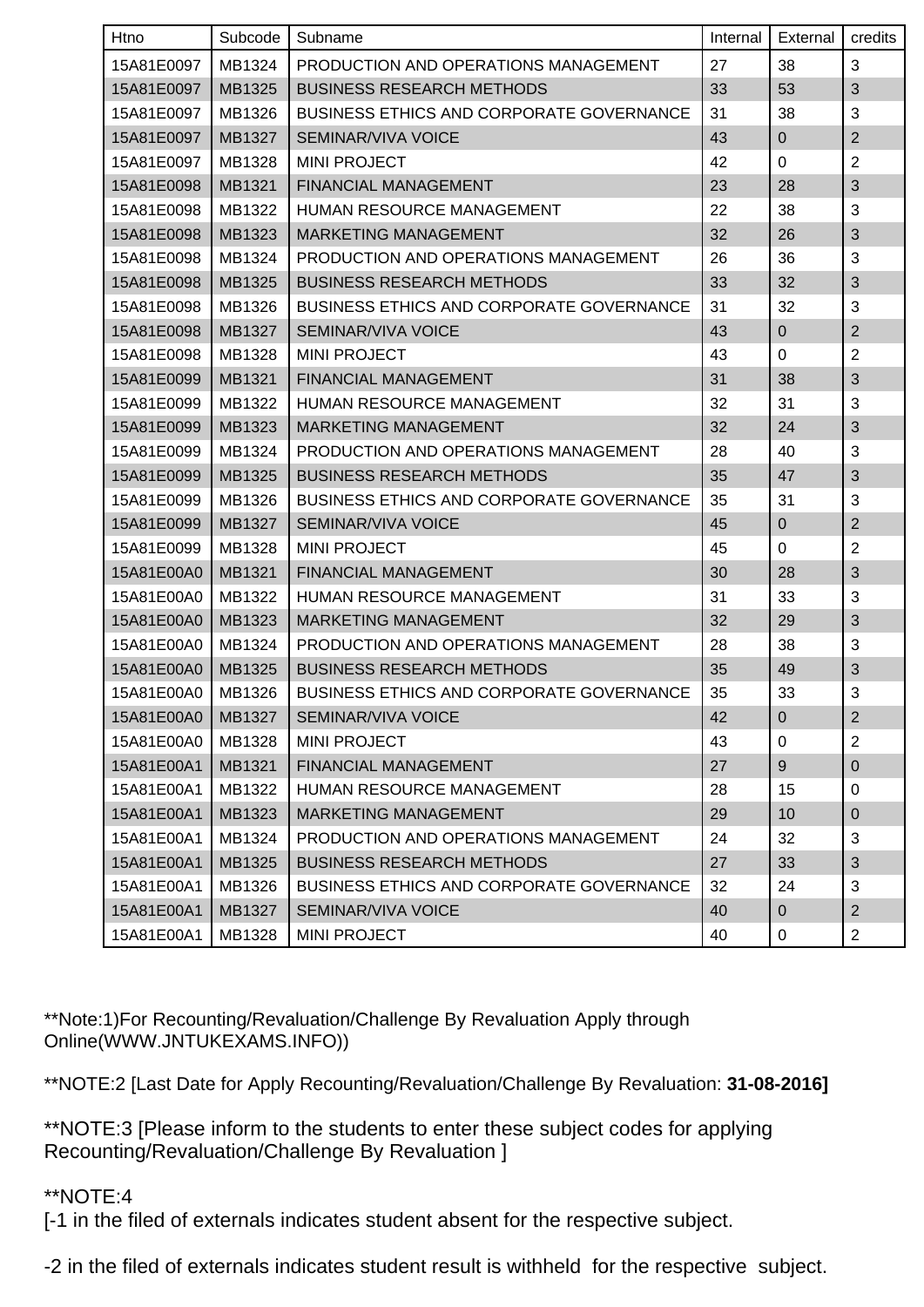| Htno                | Subcode | Subname                                         | Internal | External         | credits        |
|---------------------|---------|-------------------------------------------------|----------|------------------|----------------|
| 15A81E0097          | MB1324  | PRODUCTION AND OPERATIONS MANAGEMENT            | 27       | 38               | 3              |
| 15A81E0097          | MB1325  | <b>BUSINESS RESEARCH METHODS</b>                | 33       | 53               | $\sqrt{3}$     |
| 15A81E0097          | MB1326  | <b>BUSINESS ETHICS AND CORPORATE GOVERNANCE</b> | 31       | 38               | 3              |
| 15A81E0097          | MB1327  | <b>SEMINAR/VIVA VOICE</b>                       | 43       | 0                | $\overline{2}$ |
| 15A81E0097          | MB1328  | <b>MINI PROJECT</b>                             | 42       | 0                | $\overline{2}$ |
| 15A81E0098          | MB1321  | FINANCIAL MANAGEMENT                            | 23       | 28               | $\mathfrak{S}$ |
| 15A81E0098          | MB1322  | HUMAN RESOURCE MANAGEMENT                       | 22       | 38               | 3              |
| 15A81E0098          | MB1323  | <b>MARKETING MANAGEMENT</b>                     | 32       | 26               | $\mathfrak{S}$ |
| 15A81E0098          | MB1324  | PRODUCTION AND OPERATIONS MANAGEMENT            | 26       | 36               | 3              |
| 15A81E0098          | MB1325  | <b>BUSINESS RESEARCH METHODS</b>                | 33       | 32               | 3              |
| 15A81E0098          | MB1326  | <b>BUSINESS ETHICS AND CORPORATE GOVERNANCE</b> | 31       | 32               | 3              |
| 15A81E0098          | MB1327  | <b>SEMINAR/VIVA VOICE</b>                       | 43       | $\mathbf{0}$     | $\sqrt{2}$     |
| 15A81E0098          | MB1328  | <b>MINI PROJECT</b>                             | 43       | $\mathbf 0$      | $\overline{2}$ |
| 15A81E0099          | MB1321  | FINANCIAL MANAGEMENT                            | 31       | 38               | $\mathfrak{S}$ |
| 15A81E0099          | MB1322  | <b>HUMAN RESOURCE MANAGEMENT</b>                | 32       | 31               | 3              |
| 15A81E0099          | MB1323  | <b>MARKETING MANAGEMENT</b>                     | 32       | 24               | $\mathfrak{S}$ |
| 15A81E0099          | MB1324  | PRODUCTION AND OPERATIONS MANAGEMENT            | 28       | 40               | 3              |
| 15A81E0099          | MB1325  | <b>BUSINESS RESEARCH METHODS</b>                | 35       | 47               | $\mathfrak{S}$ |
| 15A81E0099          | MB1326  | <b>BUSINESS ETHICS AND CORPORATE GOVERNANCE</b> | 35       | 31               | 3              |
| 15A81E0099          | MB1327  | SEMINAR/VIVA VOICE                              | 45       | $\mathbf 0$      | $\overline{2}$ |
| 15A81E0099          | MB1328  | <b>MINI PROJECT</b>                             | 45       | 0                | $\overline{2}$ |
| 15A81E00A0          | MB1321  | FINANCIAL MANAGEMENT                            | 30       | 28               | 3              |
| 15A81E00A0          | MB1322  | HUMAN RESOURCE MANAGEMENT                       | 31       | 33               | 3              |
| 15A81E00A0          | MB1323  | <b>MARKETING MANAGEMENT</b>                     | 32       | 29               | $\sqrt{3}$     |
| 15A81E00A0          | MB1324  | PRODUCTION AND OPERATIONS MANAGEMENT            | 28       | 38               | 3              |
| 15A81E00A0          | MB1325  | <b>BUSINESS RESEARCH METHODS</b>                | 35       | 49               | $\mathfrak{S}$ |
| 15A81E00A0          | MB1326  | <b>BUSINESS ETHICS AND CORPORATE GOVERNANCE</b> | 35       | 33               | $\mathbf{3}$   |
| 15A81E00A0   MB1327 |         | SEMINAR/VIVA VOICE                              | 42       | $\boldsymbol{0}$ | $\overline{c}$ |
| 15A81E00A0          | MB1328  | <b>MINI PROJECT</b>                             | 43       | 0                | 2              |
| 15A81E00A1          | MB1321  | FINANCIAL MANAGEMENT                            | 27       | 9                | $\mathbf 0$    |
| 15A81E00A1          | MB1322  | HUMAN RESOURCE MANAGEMENT                       | 28       | 15               | 0              |
| 15A81E00A1          | MB1323  | <b>MARKETING MANAGEMENT</b>                     | 29       | 10               | $\mathbf 0$    |
| 15A81E00A1          | MB1324  | PRODUCTION AND OPERATIONS MANAGEMENT            | 24       | 32               | 3              |
| 15A81E00A1          | MB1325  | <b>BUSINESS RESEARCH METHODS</b>                | 27       | 33               | $\mathfrak{S}$ |
| 15A81E00A1          | MB1326  | BUSINESS ETHICS AND CORPORATE GOVERNANCE        | 32       | 24               | 3              |
| 15A81E00A1          | MB1327  | <b>SEMINAR/VIVA VOICE</b>                       | 40       | $\overline{0}$   | $\overline{2}$ |
| 15A81E00A1          | MB1328  | <b>MINI PROJECT</b>                             | 40       | 0                | $\overline{c}$ |

\*\*Note:1)For Recounting/Revaluation/Challenge By Revaluation Apply through Online(WWW.JNTUKEXAMS.INFO))

\*\*NOTE:2 [Last Date for Apply Recounting/Revaluation/Challenge By Revaluation: **31-08-2016]**

\*\*NOTE:3 [Please inform to the students to enter these subject codes for applying Recounting/Revaluation/Challenge By Revaluation ]

## \*\*NOTE:4

[-1 in the filed of externals indicates student absent for the respective subject.

-2 in the filed of externals indicates student result is withheld for the respective subject.